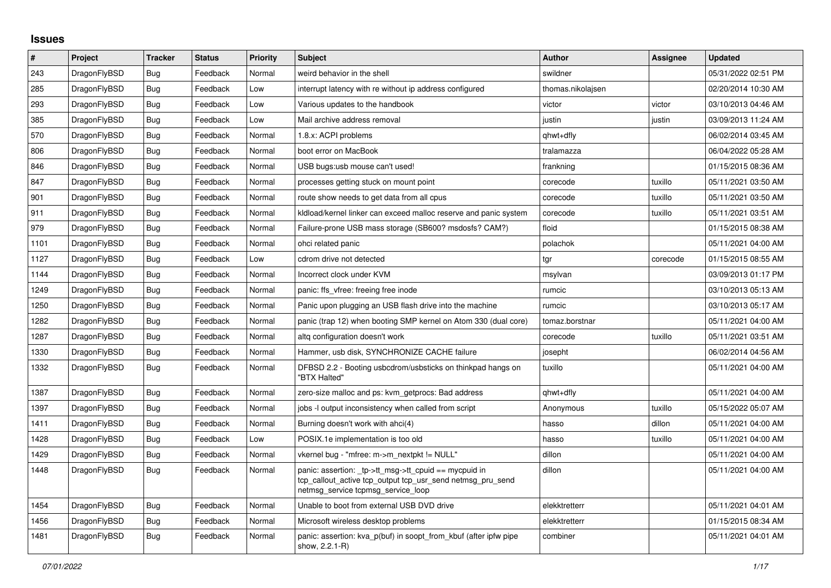## **Issues**

| $\pmb{\#}$ | Project      | <b>Tracker</b> | <b>Status</b> | <b>Priority</b> | <b>Subject</b>                                                                                                                                            | <b>Author</b>     | Assignee | <b>Updated</b>      |
|------------|--------------|----------------|---------------|-----------------|-----------------------------------------------------------------------------------------------------------------------------------------------------------|-------------------|----------|---------------------|
| 243        | DragonFlyBSD | <b>Bug</b>     | Feedback      | Normal          | weird behavior in the shell                                                                                                                               | swildner          |          | 05/31/2022 02:51 PM |
| 285        | DragonFlyBSD | <b>Bug</b>     | Feedback      | Low             | interrupt latency with re without ip address configured                                                                                                   | thomas.nikolajsen |          | 02/20/2014 10:30 AM |
| 293        | DragonFlyBSD | Bug            | Feedback      | Low             | Various updates to the handbook                                                                                                                           | victor            | victor   | 03/10/2013 04:46 AM |
| 385        | DragonFlyBSD | <b>Bug</b>     | Feedback      | Low             | Mail archive address removal                                                                                                                              | justin            | justin   | 03/09/2013 11:24 AM |
| 570        | DragonFlyBSD | <b>Bug</b>     | Feedback      | Normal          | 1.8.x: ACPI problems                                                                                                                                      | qhwt+dfly         |          | 06/02/2014 03:45 AM |
| 806        | DragonFlyBSD | Bug            | Feedback      | Normal          | boot error on MacBook                                                                                                                                     | tralamazza        |          | 06/04/2022 05:28 AM |
| 846        | DragonFlyBSD | <b>Bug</b>     | Feedback      | Normal          | USB bugs:usb mouse can't used!                                                                                                                            | frankning         |          | 01/15/2015 08:36 AM |
| 847        | DragonFlyBSD | Bug            | Feedback      | Normal          | processes getting stuck on mount point                                                                                                                    | corecode          | tuxillo  | 05/11/2021 03:50 AM |
| 901        | DragonFlyBSD | <b>Bug</b>     | Feedback      | Normal          | route show needs to get data from all cpus                                                                                                                | corecode          | tuxillo  | 05/11/2021 03:50 AM |
| 911        | DragonFlyBSD | Bug            | Feedback      | Normal          | kldload/kernel linker can exceed malloc reserve and panic system                                                                                          | corecode          | tuxillo  | 05/11/2021 03:51 AM |
| 979        | DragonFlyBSD | <b>Bug</b>     | Feedback      | Normal          | Failure-prone USB mass storage (SB600? msdosfs? CAM?)                                                                                                     | floid             |          | 01/15/2015 08:38 AM |
| 1101       | DragonFlyBSD | <b>Bug</b>     | Feedback      | Normal          | ohci related panic                                                                                                                                        | polachok          |          | 05/11/2021 04:00 AM |
| 1127       | DragonFlyBSD | <b>Bug</b>     | Feedback      | Low             | cdrom drive not detected                                                                                                                                  | tgr               | corecode | 01/15/2015 08:55 AM |
| 1144       | DragonFlyBSD | <b>Bug</b>     | Feedback      | Normal          | Incorrect clock under KVM                                                                                                                                 | msylvan           |          | 03/09/2013 01:17 PM |
| 1249       | DragonFlyBSD | <b>Bug</b>     | Feedback      | Normal          | panic: ffs_vfree: freeing free inode                                                                                                                      | rumcic            |          | 03/10/2013 05:13 AM |
| 1250       | DragonFlyBSD | <b>Bug</b>     | Feedback      | Normal          | Panic upon plugging an USB flash drive into the machine                                                                                                   | rumcic            |          | 03/10/2013 05:17 AM |
| 1282       | DragonFlyBSD | Bug            | Feedback      | Normal          | panic (trap 12) when booting SMP kernel on Atom 330 (dual core)                                                                                           | tomaz.borstnar    |          | 05/11/2021 04:00 AM |
| 1287       | DragonFlyBSD | <b>Bug</b>     | Feedback      | Normal          | altg configuration doesn't work                                                                                                                           | corecode          | tuxillo  | 05/11/2021 03:51 AM |
| 1330       | DragonFlyBSD | Bug            | Feedback      | Normal          | Hammer, usb disk, SYNCHRONIZE CACHE failure                                                                                                               | josepht           |          | 06/02/2014 04:56 AM |
| 1332       | DragonFlyBSD | <b>Bug</b>     | Feedback      | Normal          | DFBSD 2.2 - Booting usbcdrom/usbsticks on thinkpad hangs on<br>"BTX Halted"                                                                               | tuxillo           |          | 05/11/2021 04:00 AM |
| 1387       | DragonFlyBSD | <b>Bug</b>     | Feedback      | Normal          | zero-size malloc and ps: kvm getprocs: Bad address                                                                                                        | qhwt+dfly         |          | 05/11/2021 04:00 AM |
| 1397       | DragonFlyBSD | Bug            | Feedback      | Normal          | jobs -I output inconsistency when called from script                                                                                                      | Anonymous         | tuxillo  | 05/15/2022 05:07 AM |
| 1411       | DragonFlyBSD | Bug            | Feedback      | Normal          | Burning doesn't work with ahci(4)                                                                                                                         | hasso             | dillon   | 05/11/2021 04:00 AM |
| 1428       | DragonFlyBSD | <b>Bug</b>     | Feedback      | Low             | POSIX.1e implementation is too old                                                                                                                        | hasso             | tuxillo  | 05/11/2021 04:00 AM |
| 1429       | DragonFlyBSD | <b>Bug</b>     | Feedback      | Normal          | vkernel bug - "mfree: m->m_nextpkt != NULL"                                                                                                               | dillon            |          | 05/11/2021 04:00 AM |
| 1448       | DragonFlyBSD | <b>Bug</b>     | Feedback      | Normal          | panic: assertion: _tp->tt_msg->tt_cpuid == mycpuid in<br>tcp_callout_active tcp_output tcp_usr_send netmsg_pru_send<br>netmsg_service tcpmsg_service_loop | dillon            |          | 05/11/2021 04:00 AM |
| 1454       | DragonFlyBSD | <b>Bug</b>     | Feedback      | Normal          | Unable to boot from external USB DVD drive                                                                                                                | elekktretterr     |          | 05/11/2021 04:01 AM |
| 1456       | DragonFlyBSD | Bug            | Feedback      | Normal          | Microsoft wireless desktop problems                                                                                                                       | elekktretterr     |          | 01/15/2015 08:34 AM |
| 1481       | DragonFlyBSD | Bug            | Feedback      | Normal          | panic: assertion: kva_p(buf) in soopt_from_kbuf (after ipfw pipe<br>show, 2.2.1-R)                                                                        | combiner          |          | 05/11/2021 04:01 AM |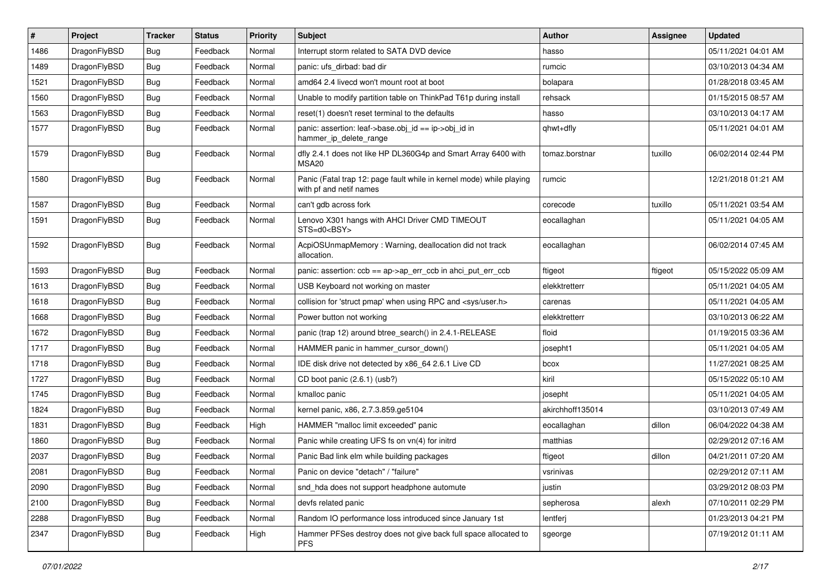| ∦    | Project      | <b>Tracker</b> | <b>Status</b> | <b>Priority</b> | Subject                                                                                         | <b>Author</b>    | Assignee | <b>Updated</b>      |
|------|--------------|----------------|---------------|-----------------|-------------------------------------------------------------------------------------------------|------------------|----------|---------------------|
| 1486 | DragonFlyBSD | <b>Bug</b>     | Feedback      | Normal          | Interrupt storm related to SATA DVD device                                                      | hasso            |          | 05/11/2021 04:01 AM |
| 1489 | DragonFlyBSD | <b>Bug</b>     | Feedback      | Normal          | panic: ufs dirbad: bad dir                                                                      | rumcic           |          | 03/10/2013 04:34 AM |
| 1521 | DragonFlyBSD | <b>Bug</b>     | Feedback      | Normal          | amd64 2.4 livecd won't mount root at boot                                                       | bolapara         |          | 01/28/2018 03:45 AM |
| 1560 | DragonFlyBSD | <b>Bug</b>     | Feedback      | Normal          | Unable to modify partition table on ThinkPad T61p during install                                | rehsack          |          | 01/15/2015 08:57 AM |
| 1563 | DragonFlyBSD | <b>Bug</b>     | Feedback      | Normal          | reset(1) doesn't reset terminal to the defaults                                                 | hasso            |          | 03/10/2013 04:17 AM |
| 1577 | DragonFlyBSD | <b>Bug</b>     | Feedback      | Normal          | panic: assertion: leaf->base.obj id == ip->obj id in<br>hammer_ip_delete_range                  | qhwt+dfly        |          | 05/11/2021 04:01 AM |
| 1579 | DragonFlyBSD | Bug            | Feedback      | Normal          | dfly 2.4.1 does not like HP DL360G4p and Smart Array 6400 with<br>MSA <sub>20</sub>             | tomaz.borstnar   | tuxillo  | 06/02/2014 02:44 PM |
| 1580 | DragonFlyBSD | Bug            | Feedback      | Normal          | Panic (Fatal trap 12: page fault while in kernel mode) while playing<br>with pf and netif names | rumcic           |          | 12/21/2018 01:21 AM |
| 1587 | DragonFlyBSD | <b>Bug</b>     | Feedback      | Normal          | can't gdb across fork                                                                           | corecode         | tuxillo  | 05/11/2021 03:54 AM |
| 1591 | DragonFlyBSD | <b>Bug</b>     | Feedback      | Normal          | Lenovo X301 hangs with AHCI Driver CMD TIMEOUT<br>STS=d0 <bsy></bsy>                            | eocallaghan      |          | 05/11/2021 04:05 AM |
| 1592 | DragonFlyBSD | Bug            | Feedback      | Normal          | AcpiOSUnmapMemory: Warning, deallocation did not track<br>allocation.                           | eocallaghan      |          | 06/02/2014 07:45 AM |
| 1593 | DragonFlyBSD | <b>Bug</b>     | Feedback      | Normal          | panic: assertion: $\cosh = a$ p->ap err $\cosh$ in ahci put err $\cosh$                         | ftigeot          | ftigeot  | 05/15/2022 05:09 AM |
| 1613 | DragonFlyBSD | <b>Bug</b>     | Feedback      | Normal          | USB Keyboard not working on master                                                              | elekktretterr    |          | 05/11/2021 04:05 AM |
| 1618 | DragonFlyBSD | <b>Bug</b>     | Feedback      | Normal          | collision for 'struct pmap' when using RPC and <sys user.h=""></sys>                            | carenas          |          | 05/11/2021 04:05 AM |
| 1668 | DragonFlyBSD | <b>Bug</b>     | Feedback      | Normal          | Power button not working                                                                        | elekktretterr    |          | 03/10/2013 06:22 AM |
| 1672 | DragonFlyBSD | <b>Bug</b>     | Feedback      | Normal          | panic (trap 12) around btree_search() in 2.4.1-RELEASE                                          | floid            |          | 01/19/2015 03:36 AM |
| 1717 | DragonFlyBSD | <b>Bug</b>     | Feedback      | Normal          | HAMMER panic in hammer_cursor_down()                                                            | josepht1         |          | 05/11/2021 04:05 AM |
| 1718 | DragonFlyBSD | <b>Bug</b>     | Feedback      | Normal          | IDE disk drive not detected by x86_64 2.6.1 Live CD                                             | bcox             |          | 11/27/2021 08:25 AM |
| 1727 | DragonFlyBSD | <b>Bug</b>     | Feedback      | Normal          | CD boot panic (2.6.1) (usb?)                                                                    | kiril            |          | 05/15/2022 05:10 AM |
| 1745 | DragonFlyBSD | <b>Bug</b>     | Feedback      | Normal          | kmalloc panic                                                                                   | josepht          |          | 05/11/2021 04:05 AM |
| 1824 | DragonFlyBSD | <b>Bug</b>     | Feedback      | Normal          | kernel panic, x86, 2.7.3.859.ge5104                                                             | akirchhoff135014 |          | 03/10/2013 07:49 AM |
| 1831 | DragonFlyBSD | <b>Bug</b>     | Feedback      | High            | HAMMER "malloc limit exceeded" panic                                                            | eocallaghan      | dillon   | 06/04/2022 04:38 AM |
| 1860 | DragonFlyBSD | <b>Bug</b>     | Feedback      | Normal          | Panic while creating UFS fs on vn(4) for initrd                                                 | matthias         |          | 02/29/2012 07:16 AM |
| 2037 | DragonFlyBSD | <b>Bug</b>     | Feedback      | Normal          | Panic Bad link elm while building packages                                                      | ftigeot          | dillon   | 04/21/2011 07:20 AM |
| 2081 | DragonFlyBSD | <b>Bug</b>     | Feedback      | Normal          | Panic on device "detach" / "failure"                                                            | vsrinivas        |          | 02/29/2012 07:11 AM |
| 2090 | DragonFlyBSD | Bug            | Feedback      | Normal          | snd_hda does not support headphone automute                                                     | justin           |          | 03/29/2012 08:03 PM |
| 2100 | DragonFlyBSD | <b>Bug</b>     | Feedback      | Normal          | devfs related panic                                                                             | sepherosa        | alexh    | 07/10/2011 02:29 PM |
| 2288 | DragonFlyBSD | <b>Bug</b>     | Feedback      | Normal          | Random IO performance loss introduced since January 1st                                         | lentferj         |          | 01/23/2013 04:21 PM |
| 2347 | DragonFlyBSD | <b>Bug</b>     | Feedback      | High            | Hammer PFSes destroy does not give back full space allocated to<br><b>PFS</b>                   | sgeorge          |          | 07/19/2012 01:11 AM |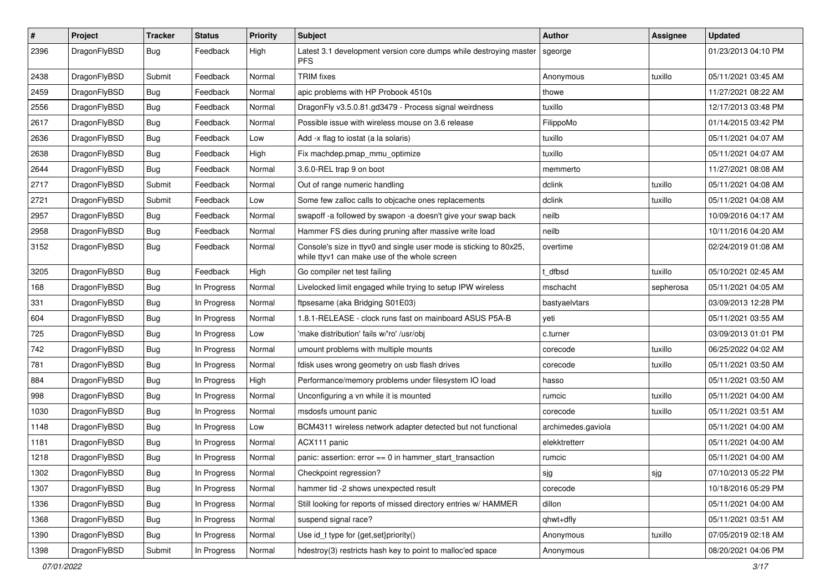| $\sharp$ | Project      | <b>Tracker</b> | <b>Status</b> | <b>Priority</b> | Subject                                                                                                            | <b>Author</b>      | Assignee  | <b>Updated</b>      |
|----------|--------------|----------------|---------------|-----------------|--------------------------------------------------------------------------------------------------------------------|--------------------|-----------|---------------------|
| 2396     | DragonFlyBSD | Bug            | Feedback      | High            | Latest 3.1 development version core dumps while destroying master<br><b>PFS</b>                                    | sgeorge            |           | 01/23/2013 04:10 PM |
| 2438     | DragonFlyBSD | Submit         | Feedback      | Normal          | <b>TRIM</b> fixes                                                                                                  | Anonymous          | tuxillo   | 05/11/2021 03:45 AM |
| 2459     | DragonFlyBSD | Bug            | Feedback      | Normal          | apic problems with HP Probook 4510s                                                                                | thowe              |           | 11/27/2021 08:22 AM |
| 2556     | DragonFlyBSD | Bug            | Feedback      | Normal          | DragonFly v3.5.0.81.gd3479 - Process signal weirdness                                                              | tuxillo            |           | 12/17/2013 03:48 PM |
| 2617     | DragonFlyBSD | Bug            | Feedback      | Normal          | Possible issue with wireless mouse on 3.6 release                                                                  | FilippoMo          |           | 01/14/2015 03:42 PM |
| 2636     | DragonFlyBSD | Bug            | Feedback      | Low             | Add -x flag to iostat (a la solaris)                                                                               | tuxillo            |           | 05/11/2021 04:07 AM |
| 2638     | DragonFlyBSD | Bug            | Feedback      | High            | Fix machdep.pmap mmu optimize                                                                                      | tuxillo            |           | 05/11/2021 04:07 AM |
| 2644     | DragonFlyBSD | Bug            | Feedback      | Normal          | 3.6.0-REL trap 9 on boot                                                                                           | memmerto           |           | 11/27/2021 08:08 AM |
| 2717     | DragonFlyBSD | Submit         | Feedback      | Normal          | Out of range numeric handling                                                                                      | dclink             | tuxillo   | 05/11/2021 04:08 AM |
| 2721     | DragonFlyBSD | Submit         | Feedback      | Low             | Some few zalloc calls to objcache ones replacements                                                                | dclink             | tuxillo   | 05/11/2021 04:08 AM |
| 2957     | DragonFlyBSD | Bug            | Feedback      | Normal          | swapoff -a followed by swapon -a doesn't give your swap back                                                       | neilb              |           | 10/09/2016 04:17 AM |
| 2958     | DragonFlyBSD | Bug            | Feedback      | Normal          | Hammer FS dies during pruning after massive write load                                                             | neilb              |           | 10/11/2016 04:20 AM |
| 3152     | DragonFlyBSD | Bug            | Feedback      | Normal          | Console's size in ttyv0 and single user mode is sticking to 80x25,<br>while ttyv1 can make use of the whole screen | overtime           |           | 02/24/2019 01:08 AM |
| 3205     | DragonFlyBSD | Bug            | Feedback      | High            | Go compiler net test failing                                                                                       | t dfbsd            | tuxillo   | 05/10/2021 02:45 AM |
| 168      | DragonFlyBSD | Bug            | In Progress   | Normal          | Livelocked limit engaged while trying to setup IPW wireless                                                        | mschacht           | sepherosa | 05/11/2021 04:05 AM |
| 331      | DragonFlyBSD | Bug            | In Progress   | Normal          | ftpsesame (aka Bridging S01E03)                                                                                    | bastyaelvtars      |           | 03/09/2013 12:28 PM |
| 604      | DragonFlyBSD | Bug            | In Progress   | Normal          | 1.8.1-RELEASE - clock runs fast on mainboard ASUS P5A-B                                                            | veti               |           | 05/11/2021 03:55 AM |
| 725      | DragonFlyBSD | Bug            | In Progress   | Low             | 'make distribution' fails w/'ro' /usr/obj                                                                          | c.turner           |           | 03/09/2013 01:01 PM |
| 742      | DragonFlyBSD | Bug            | In Progress   | Normal          | umount problems with multiple mounts                                                                               | corecode           | tuxillo   | 06/25/2022 04:02 AM |
| 781      | DragonFlyBSD | Bug            | In Progress   | Normal          | fdisk uses wrong geometry on usb flash drives                                                                      | corecode           | tuxillo   | 05/11/2021 03:50 AM |
| 884      | DragonFlyBSD | Bug            | In Progress   | High            | Performance/memory problems under filesystem IO load                                                               | hasso              |           | 05/11/2021 03:50 AM |
| 998      | DragonFlyBSD | Bug            | In Progress   | Normal          | Unconfiguring a vn while it is mounted                                                                             | rumcic             | tuxillo   | 05/11/2021 04:00 AM |
| 1030     | DragonFlyBSD | Bug            | In Progress   | Normal          | msdosfs umount panic                                                                                               | corecode           | tuxillo   | 05/11/2021 03:51 AM |
| 1148     | DragonFlyBSD | Bug            | In Progress   | Low             | BCM4311 wireless network adapter detected but not functional                                                       | archimedes.gaviola |           | 05/11/2021 04:00 AM |
| 1181     | DragonFlyBSD | Bug            | In Progress   | Normal          | ACX111 panic                                                                                                       | elekktretterr      |           | 05/11/2021 04:00 AM |
| 1218     | DragonFlyBSD | Bug            | In Progress   | Normal          | panic: assertion: error == 0 in hammer_start_transaction                                                           | rumcic             |           | 05/11/2021 04:00 AM |
| 1302     | DragonFlyBSD | <b>Bug</b>     | In Progress   | Normal          | Checkpoint regression?                                                                                             | sjg                | sjg       | 07/10/2013 05:22 PM |
| 1307     | DragonFlyBSD | <b>Bug</b>     | In Progress   | Normal          | hammer tid -2 shows unexpected result                                                                              | corecode           |           | 10/18/2016 05:29 PM |
| 1336     | DragonFlyBSD | <b>Bug</b>     | In Progress   | Normal          | Still looking for reports of missed directory entries w/ HAMMER                                                    | dillon             |           | 05/11/2021 04:00 AM |
| 1368     | DragonFlyBSD | <b>Bug</b>     | In Progress   | Normal          | suspend signal race?                                                                                               | qhwt+dfly          |           | 05/11/2021 03:51 AM |
| 1390     | DragonFlyBSD | <b>Bug</b>     | In Progress   | Normal          | Use id_t type for {get,set}priority()                                                                              | Anonymous          | tuxillo   | 07/05/2019 02:18 AM |
| 1398     | DragonFlyBSD | Submit         | In Progress   | Normal          | hdestroy(3) restricts hash key to point to malloc'ed space                                                         | Anonymous          |           | 08/20/2021 04:06 PM |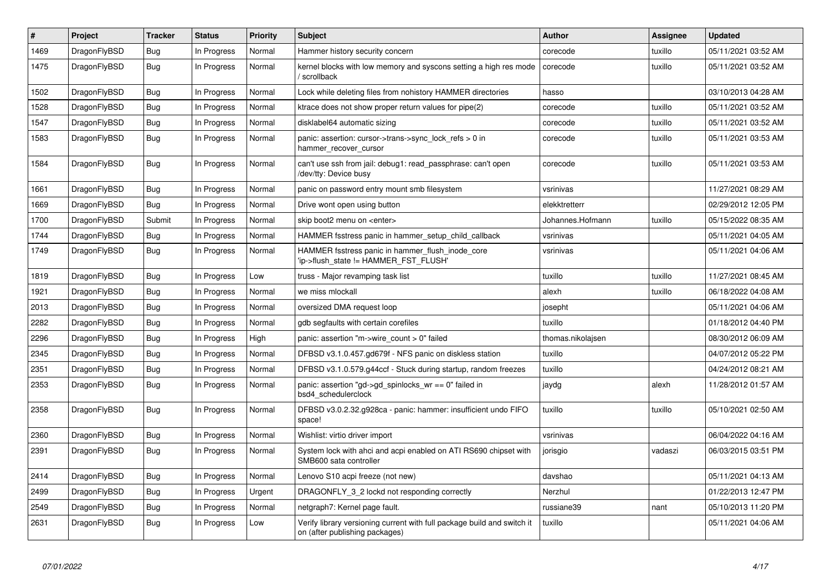| $\#$ | Project      | <b>Tracker</b> | <b>Status</b> | <b>Priority</b> | <b>Subject</b>                                                                                            | <b>Author</b>     | Assignee | <b>Updated</b>      |
|------|--------------|----------------|---------------|-----------------|-----------------------------------------------------------------------------------------------------------|-------------------|----------|---------------------|
| 1469 | DragonFlyBSD | Bug            | In Progress   | Normal          | Hammer history security concern                                                                           | corecode          | tuxillo  | 05/11/2021 03:52 AM |
| 1475 | DragonFlyBSD | <b>Bug</b>     | In Progress   | Normal          | kernel blocks with low memory and syscons setting a high res mode<br>/ scrollback                         | corecode          | tuxillo  | 05/11/2021 03:52 AM |
| 1502 | DragonFlyBSD | Bug            | In Progress   | Normal          | Lock while deleting files from nohistory HAMMER directories                                               | hasso             |          | 03/10/2013 04:28 AM |
| 1528 | DragonFlyBSD | Bug            | In Progress   | Normal          | ktrace does not show proper return values for pipe(2)                                                     | corecode          | tuxillo  | 05/11/2021 03:52 AM |
| 1547 | DragonFlyBSD | Bug            | In Progress   | Normal          | disklabel64 automatic sizing                                                                              | corecode          | tuxillo  | 05/11/2021 03:52 AM |
| 1583 | DragonFlyBSD | <b>Bug</b>     | In Progress   | Normal          | panic: assertion: cursor->trans->sync lock refs $> 0$ in<br>hammer_recover_cursor                         | corecode          | tuxillo  | 05/11/2021 03:53 AM |
| 1584 | DragonFlyBSD | <b>Bug</b>     | In Progress   | Normal          | can't use ssh from jail: debug1: read_passphrase: can't open<br>/dev/tty: Device busy                     | corecode          | tuxillo  | 05/11/2021 03:53 AM |
| 1661 | DragonFlyBSD | Bug            | In Progress   | Normal          | panic on password entry mount smb filesystem                                                              | vsrinivas         |          | 11/27/2021 08:29 AM |
| 1669 | DragonFlyBSD | <b>Bug</b>     | In Progress   | Normal          | Drive wont open using button                                                                              | elekktretterr     |          | 02/29/2012 12:05 PM |
| 1700 | DragonFlyBSD | Submit         | In Progress   | Normal          | skip boot2 menu on <enter></enter>                                                                        | Johannes.Hofmann  | tuxillo  | 05/15/2022 08:35 AM |
| 1744 | DragonFlyBSD | Bug            | In Progress   | Normal          | HAMMER fsstress panic in hammer setup child callback                                                      | vsrinivas         |          | 05/11/2021 04:05 AM |
| 1749 | DragonFlyBSD | <b>Bug</b>     | In Progress   | Normal          | HAMMER fsstress panic in hammer_flush_inode_core<br>'ip->flush_state != HAMMER_FST_FLUSH'                 | vsrinivas         |          | 05/11/2021 04:06 AM |
| 1819 | DragonFlyBSD | Bug            | In Progress   | Low             | truss - Major revamping task list                                                                         | tuxillo           | tuxillo  | 11/27/2021 08:45 AM |
| 1921 | DragonFlyBSD | <b>Bug</b>     | In Progress   | Normal          | we miss mlockall                                                                                          | alexh             | tuxillo  | 06/18/2022 04:08 AM |
| 2013 | DragonFlyBSD | <b>Bug</b>     | In Progress   | Normal          | oversized DMA request loop                                                                                | josepht           |          | 05/11/2021 04:06 AM |
| 2282 | DragonFlyBSD | Bug            | In Progress   | Normal          | gdb segfaults with certain corefiles                                                                      | tuxillo           |          | 01/18/2012 04:40 PM |
| 2296 | DragonFlyBSD | Bug            | In Progress   | High            | panic: assertion "m->wire count > 0" failed                                                               | thomas.nikolajsen |          | 08/30/2012 06:09 AM |
| 2345 | DragonFlyBSD | <b>Bug</b>     | In Progress   | Normal          | DFBSD v3.1.0.457.gd679f - NFS panic on diskless station                                                   | tuxillo           |          | 04/07/2012 05:22 PM |
| 2351 | DragonFlyBSD | Bug            | In Progress   | Normal          | DFBSD v3.1.0.579.g44ccf - Stuck during startup, random freezes                                            | tuxillo           |          | 04/24/2012 08:21 AM |
| 2353 | DragonFlyBSD | <b>Bug</b>     | In Progress   | Normal          | panic: assertion "gd->gd spinlocks $wr == 0$ " failed in<br>bsd4 schedulerclock                           | jaydg             | alexh    | 11/28/2012 01:57 AM |
| 2358 | DragonFlyBSD | <b>Bug</b>     | In Progress   | Normal          | DFBSD v3.0.2.32.g928ca - panic: hammer: insufficient undo FIFO<br>space!                                  | tuxillo           | tuxillo  | 05/10/2021 02:50 AM |
| 2360 | DragonFlyBSD | <b>Bug</b>     | In Progress   | Normal          | Wishlist: virtio driver import                                                                            | vsrinivas         |          | 06/04/2022 04:16 AM |
| 2391 | DragonFlyBSD | Bug            | In Progress   | Normal          | System lock with ahci and acpi enabled on ATI RS690 chipset with<br>SMB600 sata controller                | jorisgio          | vadaszi  | 06/03/2015 03:51 PM |
| 2414 | DragonFlyBSD | Bug            | In Progress   | Normal          | Lenovo S10 acpi freeze (not new)                                                                          | davshao           |          | 05/11/2021 04:13 AM |
| 2499 | DragonFlyBSD | Bug            | In Progress   | Urgent          | DRAGONFLY_3_2 lockd not responding correctly                                                              | Nerzhul           |          | 01/22/2013 12:47 PM |
| 2549 | DragonFlyBSD | Bug            | In Progress   | Normal          | netgraph7: Kernel page fault.                                                                             | russiane39        | nant     | 05/10/2013 11:20 PM |
| 2631 | DragonFlyBSD | Bug            | In Progress   | Low             | Verify library versioning current with full package build and switch it<br>on (after publishing packages) | tuxillo           |          | 05/11/2021 04:06 AM |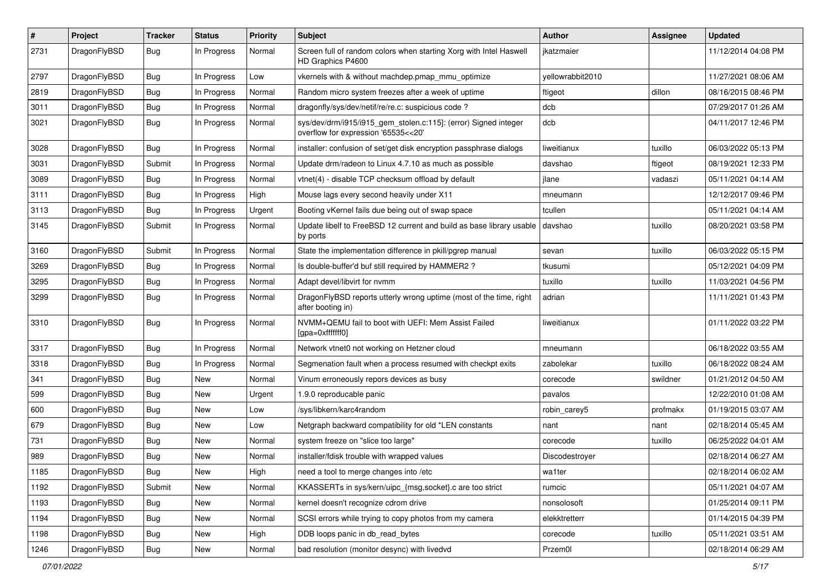| $\sharp$ | Project      | <b>Tracker</b> | <b>Status</b> | <b>Priority</b> | Subject                                                                                                | <b>Author</b>    | Assignee | <b>Updated</b>      |
|----------|--------------|----------------|---------------|-----------------|--------------------------------------------------------------------------------------------------------|------------------|----------|---------------------|
| 2731     | DragonFlyBSD | Bug            | In Progress   | Normal          | Screen full of random colors when starting Xorg with Intel Haswell<br>HD Graphics P4600                | jkatzmaier       |          | 11/12/2014 04:08 PM |
| 2797     | DragonFlyBSD | Bug            | In Progress   | Low             | vkernels with & without machdep.pmap mmu optimize                                                      | yellowrabbit2010 |          | 11/27/2021 08:06 AM |
| 2819     | DragonFlyBSD | Bug            | In Progress   | Normal          | Random micro system freezes after a week of uptime                                                     | ftigeot          | dillon   | 08/16/2015 08:46 PM |
| 3011     | DragonFlyBSD | <b>Bug</b>     | In Progress   | Normal          | dragonfly/sys/dev/netif/re/re.c: suspicious code ?                                                     | dcb              |          | 07/29/2017 01:26 AM |
| 3021     | DragonFlyBSD | Bug            | In Progress   | Normal          | sys/dev/drm/i915/i915_gem_stolen.c:115]: (error) Signed integer<br>overflow for expression '65535<<20' | dcb              |          | 04/11/2017 12:46 PM |
| 3028     | DragonFlyBSD | <b>Bug</b>     | In Progress   | Normal          | installer: confusion of set/get disk encryption passphrase dialogs                                     | liweitianux      | tuxillo  | 06/03/2022 05:13 PM |
| 3031     | DragonFlyBSD | Submit         | In Progress   | Normal          | Update drm/radeon to Linux 4.7.10 as much as possible                                                  | davshao          | ftigeot  | 08/19/2021 12:33 PM |
| 3089     | DragonFlyBSD | <b>Bug</b>     | In Progress   | Normal          | vtnet(4) - disable TCP checksum offload by default                                                     | jlane            | vadaszi  | 05/11/2021 04:14 AM |
| 3111     | DragonFlyBSD | Bug            | In Progress   | High            | Mouse lags every second heavily under X11                                                              | mneumann         |          | 12/12/2017 09:46 PM |
| 3113     | DragonFlyBSD | Bug            | In Progress   | Urgent          | Booting vKernel fails due being out of swap space                                                      | tcullen          |          | 05/11/2021 04:14 AM |
| 3145     | DragonFlyBSD | Submit         | In Progress   | Normal          | Update libelf to FreeBSD 12 current and build as base library usable<br>by ports                       | davshao          | tuxillo  | 08/20/2021 03:58 PM |
| 3160     | DragonFlyBSD | Submit         | In Progress   | Normal          | State the implementation difference in pkill/pgrep manual                                              | sevan            | tuxillo  | 06/03/2022 05:15 PM |
| 3269     | DragonFlyBSD | Bug            | In Progress   | Normal          | Is double-buffer'd buf still required by HAMMER2 ?                                                     | tkusumi          |          | 05/12/2021 04:09 PM |
| 3295     | DragonFlyBSD | Bug            | In Progress   | Normal          | Adapt devel/libvirt for nvmm                                                                           | tuxillo          | tuxillo  | 11/03/2021 04:56 PM |
| 3299     | DragonFlyBSD | Bug            | In Progress   | Normal          | DragonFlyBSD reports utterly wrong uptime (most of the time, right<br>after booting in)                | adrian           |          | 11/11/2021 01:43 PM |
| 3310     | DragonFlyBSD | Bug            | In Progress   | Normal          | NVMM+QEMU fail to boot with UEFI: Mem Assist Failed<br>[gpa=0xfffffff0]                                | liweitianux      |          | 01/11/2022 03:22 PM |
| 3317     | DragonFlyBSD | <b>Bug</b>     | In Progress   | Normal          | Network vtnet0 not working on Hetzner cloud                                                            | mneumann         |          | 06/18/2022 03:55 AM |
| 3318     | DragonFlyBSD | Bug            | In Progress   | Normal          | Segmenation fault when a process resumed with checkpt exits                                            | zabolekar        | tuxillo  | 06/18/2022 08:24 AM |
| 341      | DragonFlyBSD | Bug            | New           | Normal          | Vinum erroneously repors devices as busy                                                               | corecode         | swildner | 01/21/2012 04:50 AM |
| 599      | DragonFlyBSD | <b>Bug</b>     | New           | Urgent          | 1.9.0 reproducable panic                                                                               | pavalos          |          | 12/22/2010 01:08 AM |
| 600      | DragonFlyBSD | <b>Bug</b>     | <b>New</b>    | Low             | /sys/libkern/karc4random                                                                               | robin carey5     | profmakx | 01/19/2015 03:07 AM |
| 679      | DragonFlyBSD | Bug            | New           | Low             | Netgraph backward compatibility for old *LEN constants                                                 | nant             | nant     | 02/18/2014 05:45 AM |
| 731      | DragonFlyBSD | Bug            | New           | Normal          | system freeze on "slice too large"                                                                     | corecode         | tuxillo  | 06/25/2022 04:01 AM |
| 989      | DragonFlyBSD | <b>Bug</b>     | New           | Normal          | installer/fdisk trouble with wrapped values                                                            | Discodestroyer   |          | 02/18/2014 06:27 AM |
| 1185     | DragonFlyBSD | <b>Bug</b>     | <b>New</b>    | High            | need a tool to merge changes into /etc                                                                 | wa1ter           |          | 02/18/2014 06:02 AM |
| 1192     | DragonFlyBSD | Submit         | New           | Normal          | KKASSERTs in sys/kern/uipc_{msg,socket}.c are too strict                                               | rumcic           |          | 05/11/2021 04:07 AM |
| 1193     | DragonFlyBSD | <b>Bug</b>     | New           | Normal          | kernel doesn't recognize cdrom drive                                                                   | nonsolosoft      |          | 01/25/2014 09:11 PM |
| 1194     | DragonFlyBSD | <b>Bug</b>     | New           | Normal          | SCSI errors while trying to copy photos from my camera                                                 | elekktretterr    |          | 01/14/2015 04:39 PM |
| 1198     | DragonFlyBSD | <b>Bug</b>     | <b>New</b>    | High            | DDB loops panic in db_read_bytes                                                                       | corecode         | tuxillo  | 05/11/2021 03:51 AM |
| 1246     | DragonFlyBSD | <b>Bug</b>     | New           | Normal          | bad resolution (monitor desync) with livedvd                                                           | Przem0l          |          | 02/18/2014 06:29 AM |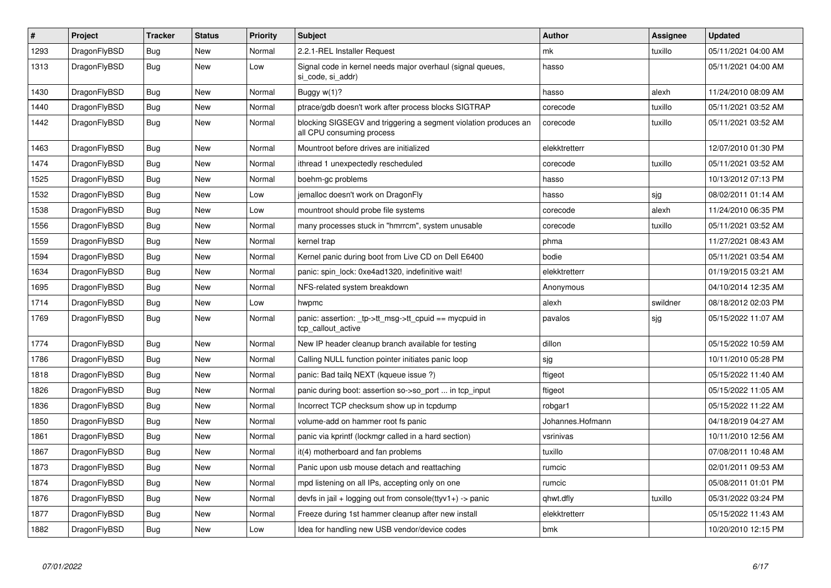| $\vert$ # | Project      | <b>Tracker</b> | <b>Status</b> | <b>Priority</b> | <b>Subject</b>                                                                               | <b>Author</b>    | Assignee | <b>Updated</b>      |
|-----------|--------------|----------------|---------------|-----------------|----------------------------------------------------------------------------------------------|------------------|----------|---------------------|
| 1293      | DragonFlyBSD | <b>Bug</b>     | <b>New</b>    | Normal          | 2.2.1-REL Installer Request                                                                  | mk               | tuxillo  | 05/11/2021 04:00 AM |
| 1313      | DragonFlyBSD | Bug            | New           | Low             | Signal code in kernel needs major overhaul (signal queues,<br>si_code, si_addr)              | hasso            |          | 05/11/2021 04:00 AM |
| 1430      | DragonFlyBSD | <b>Bug</b>     | New           | Normal          | Buggy $w(1)$ ?                                                                               | hasso            | alexh    | 11/24/2010 08:09 AM |
| 1440      | DragonFlyBSD | <b>Bug</b>     | New           | Normal          | ptrace/gdb doesn't work after process blocks SIGTRAP                                         | corecode         | tuxillo  | 05/11/2021 03:52 AM |
| 1442      | DragonFlyBSD | <b>Bug</b>     | New           | Normal          | blocking SIGSEGV and triggering a segment violation produces an<br>all CPU consuming process | corecode         | tuxillo  | 05/11/2021 03:52 AM |
| 1463      | DragonFlyBSD | Bug            | New           | Normal          | Mountroot before drives are initialized                                                      | elekktretterr    |          | 12/07/2010 01:30 PM |
| 1474      | DragonFlyBSD | <b>Bug</b>     | New           | Normal          | ithread 1 unexpectedly rescheduled                                                           | corecode         | tuxillo  | 05/11/2021 03:52 AM |
| 1525      | DragonFlyBSD | Bug            | New           | Normal          | boehm-gc problems                                                                            | hasso            |          | 10/13/2012 07:13 PM |
| 1532      | DragonFlyBSD | Bug            | New           | Low             | jemalloc doesn't work on DragonFly                                                           | hasso            | sjg      | 08/02/2011 01:14 AM |
| 1538      | DragonFlyBSD | <b>Bug</b>     | New           | Low             | mountroot should probe file systems                                                          | corecode         | alexh    | 11/24/2010 06:35 PM |
| 1556      | DragonFlyBSD | <b>Bug</b>     | New           | Normal          | many processes stuck in "hmrrcm", system unusable                                            | corecode         | tuxillo  | 05/11/2021 03:52 AM |
| 1559      | DragonFlyBSD | Bug            | <b>New</b>    | Normal          | kernel trap                                                                                  | phma             |          | 11/27/2021 08:43 AM |
| 1594      | DragonFlyBSD | Bug            | New           | Normal          | Kernel panic during boot from Live CD on Dell E6400                                          | bodie            |          | 05/11/2021 03:54 AM |
| 1634      | DragonFlyBSD | <b>Bug</b>     | <b>New</b>    | Normal          | panic: spin_lock: 0xe4ad1320, indefinitive wait!                                             | elekktretterr    |          | 01/19/2015 03:21 AM |
| 1695      | DragonFlyBSD | <b>Bug</b>     | New           | Normal          | NFS-related system breakdown                                                                 | Anonymous        |          | 04/10/2014 12:35 AM |
| 1714      | DragonFlyBSD | <b>Bug</b>     | <b>New</b>    | Low             | hwpmc                                                                                        | alexh            | swildner | 08/18/2012 02:03 PM |
| 1769      | DragonFlyBSD | <b>Bug</b>     | <b>New</b>    | Normal          | panic: assertion: _tp->tt_msg->tt_cpuid == mycpuid in<br>tcp_callout_active                  | pavalos          | sjg      | 05/15/2022 11:07 AM |
| 1774      | DragonFlyBSD | Bug            | <b>New</b>    | Normal          | New IP header cleanup branch available for testing                                           | dillon           |          | 05/15/2022 10:59 AM |
| 1786      | DragonFlyBSD | <b>Bug</b>     | <b>New</b>    | Normal          | Calling NULL function pointer initiates panic loop                                           | sjg              |          | 10/11/2010 05:28 PM |
| 1818      | DragonFlyBSD | Bug            | <b>New</b>    | Normal          | panic: Bad tailg NEXT (kqueue issue ?)                                                       | ftigeot          |          | 05/15/2022 11:40 AM |
| 1826      | DragonFlyBSD | <b>Bug</b>     | New           | Normal          | panic during boot: assertion so->so_port  in tcp_input                                       | ftigeot          |          | 05/15/2022 11:05 AM |
| 1836      | DragonFlyBSD | Bug            | <b>New</b>    | Normal          | Incorrect TCP checksum show up in tcpdump                                                    | robgar1          |          | 05/15/2022 11:22 AM |
| 1850      | DragonFlyBSD | <b>Bug</b>     | <b>New</b>    | Normal          | volume-add on hammer root fs panic                                                           | Johannes.Hofmann |          | 04/18/2019 04:27 AM |
| 1861      | DragonFlyBSD | Bug            | New           | Normal          | panic via kprintf (lockmgr called in a hard section)                                         | vsrinivas        |          | 10/11/2010 12:56 AM |
| 1867      | DragonFlyBSD | <b>Bug</b>     | New           | Normal          | it(4) motherboard and fan problems                                                           | tuxillo          |          | 07/08/2011 10:48 AM |
| 1873      | DragonFlyBSD | <b>Bug</b>     | New           | Normal          | Panic upon usb mouse detach and reattaching                                                  | rumcic           |          | 02/01/2011 09:53 AM |
| 1874      | DragonFlyBSD | Bug            | New           | Normal          | mpd listening on all IPs, accepting only on one                                              | rumcic           |          | 05/08/2011 01:01 PM |
| 1876      | DragonFlyBSD | Bug            | New           | Normal          | devfs in jail + logging out from console(ttyv1+) -> panic                                    | qhwt.dfly        | tuxillo  | 05/31/2022 03:24 PM |
| 1877      | DragonFlyBSD | Bug            | New           | Normal          | Freeze during 1st hammer cleanup after new install                                           | elekktretterr    |          | 05/15/2022 11:43 AM |
| 1882      | DragonFlyBSD | Bug            | <b>New</b>    | Low             | Idea for handling new USB vendor/device codes                                                | bmk              |          | 10/20/2010 12:15 PM |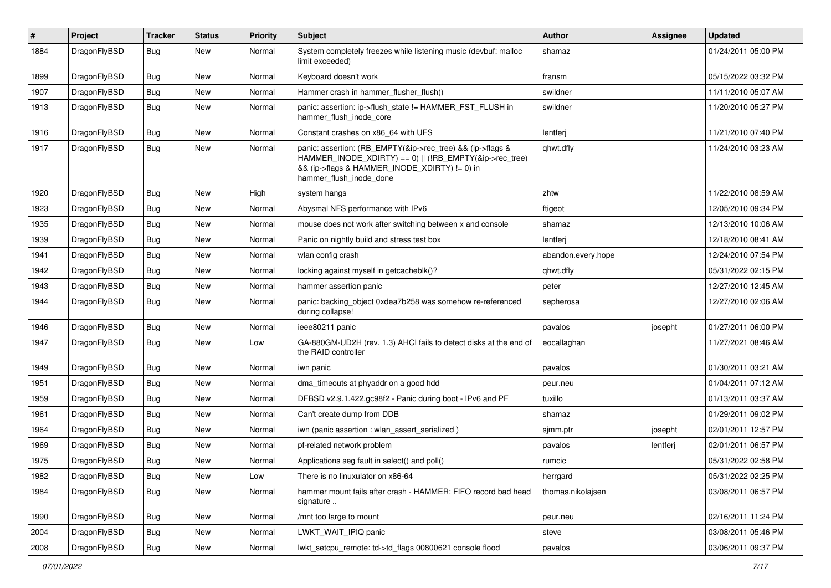| #    | Project      | <b>Tracker</b> | <b>Status</b> | <b>Priority</b> | Subject                                                                                                                                                                                           | Author             | <b>Assignee</b> | <b>Updated</b>      |
|------|--------------|----------------|---------------|-----------------|---------------------------------------------------------------------------------------------------------------------------------------------------------------------------------------------------|--------------------|-----------------|---------------------|
| 1884 | DragonFlyBSD | Bug            | New           | Normal          | System completely freezes while listening music (devbuf: malloc<br>limit exceeded)                                                                                                                | shamaz             |                 | 01/24/2011 05:00 PM |
| 1899 | DragonFlyBSD | <b>Bug</b>     | <b>New</b>    | Normal          | Keyboard doesn't work                                                                                                                                                                             | fransm             |                 | 05/15/2022 03:32 PM |
| 1907 | DragonFlyBSD | Bug            | New           | Normal          | Hammer crash in hammer flusher flush()                                                                                                                                                            | swildner           |                 | 11/11/2010 05:07 AM |
| 1913 | DragonFlyBSD | Bug            | New           | Normal          | panic: assertion: ip->flush_state != HAMMER_FST_FLUSH in<br>hammer flush inode core                                                                                                               | swildner           |                 | 11/20/2010 05:27 PM |
| 1916 | DragonFlyBSD | Bug            | <b>New</b>    | Normal          | Constant crashes on x86_64 with UFS                                                                                                                                                               | lentferj           |                 | 11/21/2010 07:40 PM |
| 1917 | DragonFlyBSD | <b>Bug</b>     | New           | Normal          | panic: assertion: (RB_EMPTY(&ip->rec_tree) && (ip->flags &<br>HAMMER_INODE_XDIRTY) == 0)    (!RB_EMPTY(&ip->rec_tree)<br>&& (ip->flags & HAMMER_INODE_XDIRTY) != 0) in<br>hammer flush inode done | qhwt.dfly          |                 | 11/24/2010 03:23 AM |
| 1920 | DragonFlyBSD | Bug            | <b>New</b>    | High            | system hangs                                                                                                                                                                                      | zhtw               |                 | 11/22/2010 08:59 AM |
| 1923 | DragonFlyBSD | <b>Bug</b>     | <b>New</b>    | Normal          | Abysmal NFS performance with IPv6                                                                                                                                                                 | ftigeot            |                 | 12/05/2010 09:34 PM |
| 1935 | DragonFlyBSD | Bug            | <b>New</b>    | Normal          | mouse does not work after switching between x and console                                                                                                                                         | shamaz             |                 | 12/13/2010 10:06 AM |
| 1939 | DragonFlyBSD | Bug            | <b>New</b>    | Normal          | Panic on nightly build and stress test box                                                                                                                                                        | lentferj           |                 | 12/18/2010 08:41 AM |
| 1941 | DragonFlyBSD | <b>Bug</b>     | <b>New</b>    | Normal          | wlan config crash                                                                                                                                                                                 | abandon.every.hope |                 | 12/24/2010 07:54 PM |
| 1942 | DragonFlyBSD | Bug            | <b>New</b>    | Normal          | locking against myself in getcacheblk()?                                                                                                                                                          | qhwt.dfly          |                 | 05/31/2022 02:15 PM |
| 1943 | DragonFlyBSD | <b>Bug</b>     | <b>New</b>    | Normal          | hammer assertion panic                                                                                                                                                                            | peter              |                 | 12/27/2010 12:45 AM |
| 1944 | DragonFlyBSD | Bug            | New           | Normal          | panic: backing_object 0xdea7b258 was somehow re-referenced<br>during collapse!                                                                                                                    | sepherosa          |                 | 12/27/2010 02:06 AM |
| 1946 | DragonFlyBSD | Bug            | <b>New</b>    | Normal          | ieee80211 panic                                                                                                                                                                                   | pavalos            | josepht         | 01/27/2011 06:00 PM |
| 1947 | DragonFlyBSD | Bug            | New           | Low             | GA-880GM-UD2H (rev. 1.3) AHCI fails to detect disks at the end of<br>the RAID controller                                                                                                          | eocallaghan        |                 | 11/27/2021 08:46 AM |
| 1949 | DragonFlyBSD | <b>Bug</b>     | <b>New</b>    | Normal          | iwn panic                                                                                                                                                                                         | pavalos            |                 | 01/30/2011 03:21 AM |
| 1951 | DragonFlyBSD | <b>Bug</b>     | New           | Normal          | dma_timeouts at phyaddr on a good hdd                                                                                                                                                             | peur.neu           |                 | 01/04/2011 07:12 AM |
| 1959 | DragonFlyBSD | <b>Bug</b>     | <b>New</b>    | Normal          | DFBSD v2.9.1.422.gc98f2 - Panic during boot - IPv6 and PF                                                                                                                                         | tuxillo            |                 | 01/13/2011 03:37 AM |
| 1961 | DragonFlyBSD | <b>Bug</b>     | New           | Normal          | Can't create dump from DDB                                                                                                                                                                        | shamaz             |                 | 01/29/2011 09:02 PM |
| 1964 | DragonFlyBSD | Bug            | <b>New</b>    | Normal          | iwn (panic assertion : wlan assert serialized)                                                                                                                                                    | sjmm.ptr           | josepht         | 02/01/2011 12:57 PM |
| 1969 | DragonFlyBSD | Bug            | <b>New</b>    | Normal          | pf-related network problem                                                                                                                                                                        | pavalos            | lentferj        | 02/01/2011 06:57 PM |
| 1975 | DragonFlyBSD | <b>Bug</b>     | New           | Normal          | Applications seg fault in select() and poll()                                                                                                                                                     | rumcic             |                 | 05/31/2022 02:58 PM |
| 1982 | DragonFlyBSD | Bug            | <b>New</b>    | Low             | There is no linuxulator on x86-64                                                                                                                                                                 | herrgard           |                 | 05/31/2022 02:25 PM |
| 1984 | DragonFlyBSD | <b>Bug</b>     | New           | Normal          | hammer mount fails after crash - HAMMER: FIFO record bad head<br>signature                                                                                                                        | thomas.nikolajsen  |                 | 03/08/2011 06:57 PM |
| 1990 | DragonFlyBSD | Bug            | New           | Normal          | /mnt too large to mount                                                                                                                                                                           | peur.neu           |                 | 02/16/2011 11:24 PM |
| 2004 | DragonFlyBSD | <b>Bug</b>     | New           | Normal          | LWKT WAIT IPIQ panic                                                                                                                                                                              | steve              |                 | 03/08/2011 05:46 PM |
| 2008 | DragonFlyBSD | <b>Bug</b>     | New           | Normal          | lwkt_setcpu_remote: td->td_flags 00800621 console flood                                                                                                                                           | pavalos            |                 | 03/06/2011 09:37 PM |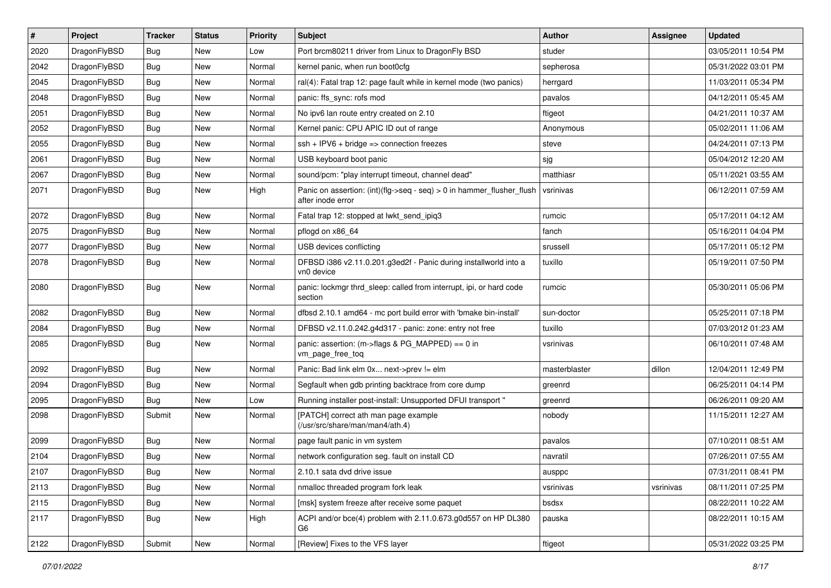| $\pmb{\#}$ | Project      | <b>Tracker</b> | <b>Status</b> | <b>Priority</b> | Subject                                                                                    | <b>Author</b> | Assignee  | <b>Updated</b>      |
|------------|--------------|----------------|---------------|-----------------|--------------------------------------------------------------------------------------------|---------------|-----------|---------------------|
| 2020       | DragonFlyBSD | Bug            | New           | Low             | Port brcm80211 driver from Linux to DragonFly BSD                                          | studer        |           | 03/05/2011 10:54 PM |
| 2042       | DragonFlyBSD | Bug            | <b>New</b>    | Normal          | kernel panic, when run boot0cfg                                                            | sepherosa     |           | 05/31/2022 03:01 PM |
| 2045       | DragonFlyBSD | Bug            | New           | Normal          | ral(4): Fatal trap 12: page fault while in kernel mode (two panics)                        | herrgard      |           | 11/03/2011 05:34 PM |
| 2048       | DragonFlyBSD | Bug            | New           | Normal          | panic: ffs_sync: rofs mod                                                                  | pavalos       |           | 04/12/2011 05:45 AM |
| 2051       | DragonFlyBSD | Bug            | <b>New</b>    | Normal          | No ipv6 lan route entry created on 2.10                                                    | ftigeot       |           | 04/21/2011 10:37 AM |
| 2052       | DragonFlyBSD | Bug            | <b>New</b>    | Normal          | Kernel panic: CPU APIC ID out of range                                                     | Anonymous     |           | 05/02/2011 11:06 AM |
| 2055       | DragonFlyBSD | Bug            | New           | Normal          | $ssh + IPV6 + bridge \Rightarrow$ connection freezes                                       | steve         |           | 04/24/2011 07:13 PM |
| 2061       | DragonFlyBSD | Bug            | New           | Normal          | USB keyboard boot panic                                                                    | sjg           |           | 05/04/2012 12:20 AM |
| 2067       | DragonFlyBSD | Bug            | New           | Normal          | sound/pcm: "play interrupt timeout, channel dead"                                          | matthiasr     |           | 05/11/2021 03:55 AM |
| 2071       | DragonFlyBSD | Bug            | <b>New</b>    | High            | Panic on assertion: (int)(flg->seq - seq) > 0 in hammer_flusher_flush<br>after inode error | vsrinivas     |           | 06/12/2011 07:59 AM |
| 2072       | DragonFlyBSD | Bug            | <b>New</b>    | Normal          | Fatal trap 12: stopped at lwkt_send_ipiq3                                                  | rumcic        |           | 05/17/2011 04:12 AM |
| 2075       | DragonFlyBSD | Bug            | <b>New</b>    | Normal          | pflogd on x86 64                                                                           | fanch         |           | 05/16/2011 04:04 PM |
| 2077       | DragonFlyBSD | <b>Bug</b>     | <b>New</b>    | Normal          | USB devices conflicting                                                                    | srussell      |           | 05/17/2011 05:12 PM |
| 2078       | DragonFlyBSD | Bug            | New           | Normal          | DFBSD i386 v2.11.0.201.g3ed2f - Panic during installworld into a<br>vn0 device             | tuxillo       |           | 05/19/2011 07:50 PM |
| 2080       | DragonFlyBSD | Bug            | New           | Normal          | panic: lockmgr thrd_sleep: called from interrupt, ipi, or hard code<br>section             | rumcic        |           | 05/30/2011 05:06 PM |
| 2082       | DragonFlyBSD | <b>Bug</b>     | <b>New</b>    | Normal          | dfbsd 2.10.1 amd64 - mc port build error with 'bmake bin-install'                          | sun-doctor    |           | 05/25/2011 07:18 PM |
| 2084       | DragonFlyBSD | Bug            | <b>New</b>    | Normal          | DFBSD v2.11.0.242.g4d317 - panic: zone: entry not free                                     | tuxillo       |           | 07/03/2012 01:23 AM |
| 2085       | DragonFlyBSD | Bug            | New           | Normal          | panic: assertion: (m->flags & PG_MAPPED) == 0 in<br>vm_page_free_toq                       | vsrinivas     |           | 06/10/2011 07:48 AM |
| 2092       | DragonFlyBSD | Bug            | <b>New</b>    | Normal          | Panic: Bad link elm 0x next->prev != elm                                                   | masterblaster | dillon    | 12/04/2011 12:49 PM |
| 2094       | DragonFlyBSD | Bug            | New           | Normal          | Segfault when gdb printing backtrace from core dump                                        | greenrd       |           | 06/25/2011 04:14 PM |
| 2095       | DragonFlyBSD | <b>Bug</b>     | <b>New</b>    | Low             | Running installer post-install: Unsupported DFUI transport "                               | greenrd       |           | 06/26/2011 09:20 AM |
| 2098       | DragonFlyBSD | Submit         | <b>New</b>    | Normal          | [PATCH] correct ath man page example<br>(/usr/src/share/man/man4/ath.4)                    | nobody        |           | 11/15/2011 12:27 AM |
| 2099       | DragonFlyBSD | Bug            | <b>New</b>    | Normal          | page fault panic in vm system                                                              | pavalos       |           | 07/10/2011 08:51 AM |
| 2104       | DragonFlyBSD | Bug            | <b>New</b>    | Normal          | network configuration seg. fault on install CD                                             | navratil      |           | 07/26/2011 07:55 AM |
| 2107       | DragonFlyBSD | <b>Bug</b>     | New           | Normal          | 2.10.1 sata dvd drive issue                                                                | ausppc        |           | 07/31/2011 08:41 PM |
| 2113       | DragonFlyBSD | Bug            | New           | Normal          | nmalloc threaded program fork leak                                                         | vsrinivas     | vsrinivas | 08/11/2011 07:25 PM |
| 2115       | DragonFlyBSD | <b>Bug</b>     | New           | Normal          | [msk] system freeze after receive some paquet                                              | bsdsx         |           | 08/22/2011 10:22 AM |
| 2117       | DragonFlyBSD | Bug            | New           | High            | ACPI and/or bce(4) problem with 2.11.0.673.g0d557 on HP DL380<br>G6                        | pauska        |           | 08/22/2011 10:15 AM |
| 2122       | DragonFlyBSD | Submit         | New           | Normal          | [Review] Fixes to the VFS layer                                                            | ftigeot       |           | 05/31/2022 03:25 PM |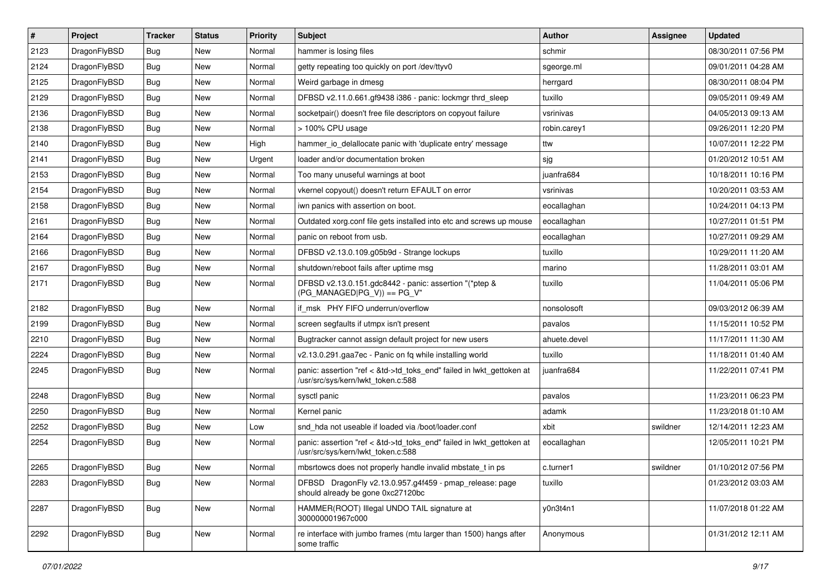| $\vert$ # | Project      | <b>Tracker</b> | <b>Status</b> | <b>Priority</b> | Subject                                                                                                    | <b>Author</b> | <b>Assignee</b> | <b>Updated</b>      |
|-----------|--------------|----------------|---------------|-----------------|------------------------------------------------------------------------------------------------------------|---------------|-----------------|---------------------|
| 2123      | DragonFlyBSD | Bug            | <b>New</b>    | Normal          | hammer is losing files                                                                                     | schmir        |                 | 08/30/2011 07:56 PM |
| 2124      | DragonFlyBSD | Bug            | <b>New</b>    | Normal          | getty repeating too quickly on port /dev/ttyv0                                                             | sgeorge.ml    |                 | 09/01/2011 04:28 AM |
| 2125      | DragonFlyBSD | Bug            | <b>New</b>    | Normal          | Weird garbage in dmesg                                                                                     | herrgard      |                 | 08/30/2011 08:04 PM |
| 2129      | DragonFlyBSD | Bug            | New           | Normal          | DFBSD v2.11.0.661.gf9438 i386 - panic: lockmgr thrd_sleep                                                  | tuxillo       |                 | 09/05/2011 09:49 AM |
| 2136      | DragonFlyBSD | Bug            | <b>New</b>    | Normal          | socketpair() doesn't free file descriptors on copyout failure                                              | vsrinivas     |                 | 04/05/2013 09:13 AM |
| 2138      | DragonFlyBSD | Bug            | New           | Normal          | > 100% CPU usage                                                                                           | robin.carey1  |                 | 09/26/2011 12:20 PM |
| 2140      | DragonFlyBSD | Bug            | <b>New</b>    | High            | hammer_io_delallocate panic with 'duplicate entry' message                                                 | ttw           |                 | 10/07/2011 12:22 PM |
| 2141      | DragonFlyBSD | Bug            | New           | Urgent          | loader and/or documentation broken                                                                         | sjg           |                 | 01/20/2012 10:51 AM |
| 2153      | DragonFlyBSD | Bug            | <b>New</b>    | Normal          | Too many unuseful warnings at boot                                                                         | juanfra684    |                 | 10/18/2011 10:16 PM |
| 2154      | DragonFlyBSD | Bug            | <b>New</b>    | Normal          | vkernel copyout() doesn't return EFAULT on error                                                           | vsrinivas     |                 | 10/20/2011 03:53 AM |
| 2158      | DragonFlyBSD | Bug            | <b>New</b>    | Normal          | iwn panics with assertion on boot.                                                                         | eocallaghan   |                 | 10/24/2011 04:13 PM |
| 2161      | DragonFlyBSD | Bug            | <b>New</b>    | Normal          | Outdated xorg.conf file gets installed into etc and screws up mouse                                        | eocallaghan   |                 | 10/27/2011 01:51 PM |
| 2164      | DragonFlyBSD | Bug            | <b>New</b>    | Normal          | panic on reboot from usb.                                                                                  | eocallaghan   |                 | 10/27/2011 09:29 AM |
| 2166      | DragonFlyBSD | Bug            | <b>New</b>    | Normal          | DFBSD v2.13.0.109.g05b9d - Strange lockups                                                                 | tuxillo       |                 | 10/29/2011 11:20 AM |
| 2167      | DragonFlyBSD | Bug            | <b>New</b>    | Normal          | shutdown/reboot fails after uptime msq                                                                     | marino        |                 | 11/28/2011 03:01 AM |
| 2171      | DragonFlyBSD | Bug            | <b>New</b>    | Normal          | DFBSD v2.13.0.151.gdc8442 - panic: assertion "(*ptep &<br>$(PG_MANAGED PG_V)$ == PG_V"                     | tuxillo       |                 | 11/04/2011 05:06 PM |
| 2182      | DragonFlyBSD | Bug            | <b>New</b>    | Normal          | if msk PHY FIFO underrun/overflow                                                                          | nonsolosoft   |                 | 09/03/2012 06:39 AM |
| 2199      | DragonFlyBSD | Bug            | New           | Normal          | screen segfaults if utmpx isn't present                                                                    | pavalos       |                 | 11/15/2011 10:52 PM |
| 2210      | DragonFlyBSD | Bug            | <b>New</b>    | Normal          | Bugtracker cannot assign default project for new users                                                     | ahuete.devel  |                 | 11/17/2011 11:30 AM |
| 2224      | DragonFlyBSD | Bug            | <b>New</b>    | Normal          | v2.13.0.291.gaa7ec - Panic on fq while installing world                                                    | tuxillo       |                 | 11/18/2011 01:40 AM |
| 2245      | DragonFlyBSD | Bug            | <b>New</b>    | Normal          | panic: assertion "ref < &td->td_toks_end" failed in lwkt_gettoken at<br>/usr/src/sys/kern/lwkt_token.c:588 | juanfra684    |                 | 11/22/2011 07:41 PM |
| 2248      | DragonFlyBSD | Bug            | <b>New</b>    | Normal          | sysctl panic                                                                                               | pavalos       |                 | 11/23/2011 06:23 PM |
| 2250      | DragonFlyBSD | Bug            | New           | Normal          | Kernel panic                                                                                               | adamk         |                 | 11/23/2018 01:10 AM |
| 2252      | DragonFlyBSD | Bug            | <b>New</b>    | Low             | snd hda not useable if loaded via /boot/loader.conf                                                        | xbit          | swildner        | 12/14/2011 12:23 AM |
| 2254      | DragonFlyBSD | Bug            | New           | Normal          | panic: assertion "ref < &td->td_toks_end" failed in lwkt_gettoken at<br>/usr/src/sys/kern/lwkt_token.c:588 | eocallaghan   |                 | 12/05/2011 10:21 PM |
| 2265      | DragonFlyBSD | Bug            | <b>New</b>    | Normal          | mbsrtowcs does not properly handle invalid mbstate_t in ps                                                 | c.turner1     | swildner        | 01/10/2012 07:56 PM |
| 2283      | DragonFlyBSD | Bug            | New           | Normal          | DFBSD DragonFly v2.13.0.957.g4f459 - pmap_release: page<br>should already be gone 0xc27120bc               | tuxillo       |                 | 01/23/2012 03:03 AM |
| 2287      | DragonFlyBSD | Bug            | <b>New</b>    | Normal          | HAMMER(ROOT) Illegal UNDO TAIL signature at<br>300000001967c000                                            | y0n3t4n1      |                 | 11/07/2018 01:22 AM |
| 2292      | DragonFlyBSD | <b>Bug</b>     | New           | Normal          | re interface with jumbo frames (mtu larger than 1500) hangs after<br>some traffic                          | Anonymous     |                 | 01/31/2012 12:11 AM |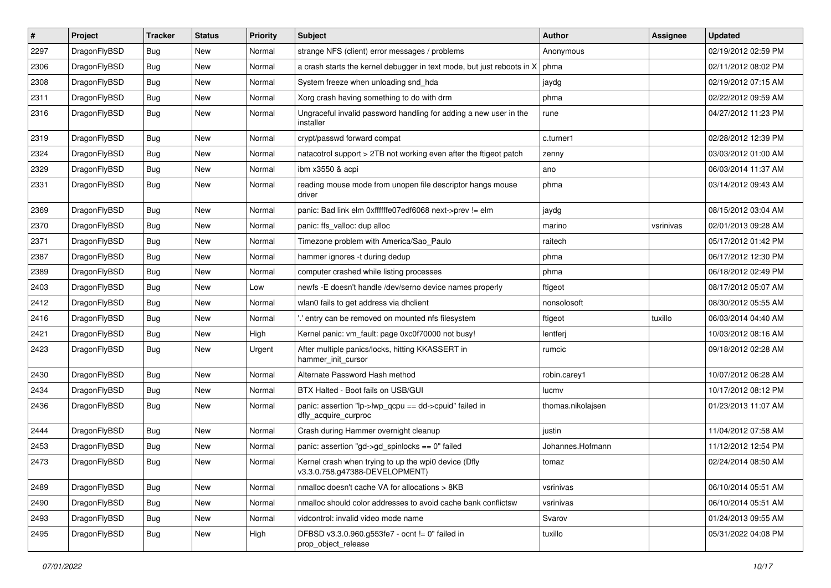| $\vert$ # | Project      | <b>Tracker</b> | <b>Status</b> | <b>Priority</b> | <b>Subject</b>                                                                         | <b>Author</b>     | <b>Assignee</b> | <b>Updated</b>      |
|-----------|--------------|----------------|---------------|-----------------|----------------------------------------------------------------------------------------|-------------------|-----------------|---------------------|
| 2297      | DragonFlyBSD | <b>Bug</b>     | <b>New</b>    | Normal          | strange NFS (client) error messages / problems                                         | Anonymous         |                 | 02/19/2012 02:59 PM |
| 2306      | DragonFlyBSD | <b>Bug</b>     | <b>New</b>    | Normal          | a crash starts the kernel debugger in text mode, but just reboots in X                 | phma              |                 | 02/11/2012 08:02 PM |
| 2308      | DragonFlyBSD | <b>Bug</b>     | <b>New</b>    | Normal          | System freeze when unloading snd hda                                                   | jaydg             |                 | 02/19/2012 07:15 AM |
| 2311      | DragonFlyBSD | Bug            | New           | Normal          | Xorg crash having something to do with drm                                             | phma              |                 | 02/22/2012 09:59 AM |
| 2316      | DragonFlyBSD | Bug            | <b>New</b>    | Normal          | Ungraceful invalid password handling for adding a new user in the<br>installer         | rune              |                 | 04/27/2012 11:23 PM |
| 2319      | DragonFlyBSD | Bug            | <b>New</b>    | Normal          | crypt/passwd forward compat                                                            | c.turner1         |                 | 02/28/2012 12:39 PM |
| 2324      | DragonFlyBSD | Bug            | New           | Normal          | natacotrol support > 2TB not working even after the ftigeot patch                      | zenny             |                 | 03/03/2012 01:00 AM |
| 2329      | DragonFlyBSD | <b>Bug</b>     | <b>New</b>    | Normal          | ibm x3550 & acpi                                                                       | ano               |                 | 06/03/2014 11:37 AM |
| 2331      | DragonFlyBSD | Bug            | New           | Normal          | reading mouse mode from unopen file descriptor hangs mouse<br>driver                   | phma              |                 | 03/14/2012 09:43 AM |
| 2369      | DragonFlyBSD | Bug            | New           | Normal          | panic: Bad link elm 0xffffffe07edf6068 next->prev != elm                               | jaydg             |                 | 08/15/2012 03:04 AM |
| 2370      | DragonFlyBSD | <b>Bug</b>     | <b>New</b>    | Normal          | panic: ffs_valloc: dup alloc                                                           | marino            | vsrinivas       | 02/01/2013 09:28 AM |
| 2371      | DragonFlyBSD | <b>Bug</b>     | New           | Normal          | Timezone problem with America/Sao_Paulo                                                | raitech           |                 | 05/17/2012 01:42 PM |
| 2387      | DragonFlyBSD | Bug            | <b>New</b>    | Normal          | hammer ignores -t during dedup                                                         | phma              |                 | 06/17/2012 12:30 PM |
| 2389      | DragonFlyBSD | <b>Bug</b>     | New           | Normal          | computer crashed while listing processes                                               | phma              |                 | 06/18/2012 02:49 PM |
| 2403      | DragonFlyBSD | <b>Bug</b>     | <b>New</b>    | Low             | newfs -E doesn't handle /dev/serno device names properly                               | ftigeot           |                 | 08/17/2012 05:07 AM |
| 2412      | DragonFlyBSD | Bug            | <b>New</b>    | Normal          | wlan0 fails to get address via dhclient                                                | nonsolosoft       |                 | 08/30/2012 05:55 AM |
| 2416      | DragonFlyBSD | Bug            | New           | Normal          | ".' entry can be removed on mounted nfs filesystem                                     | ftigeot           | tuxillo         | 06/03/2014 04:40 AM |
| 2421      | DragonFlyBSD | Bug            | <b>New</b>    | High            | Kernel panic: vm_fault: page 0xc0f70000 not busy!                                      | lentferj          |                 | 10/03/2012 08:16 AM |
| 2423      | DragonFlyBSD | <b>Bug</b>     | New           | Urgent          | After multiple panics/locks, hitting KKASSERT in<br>hammer_init_cursor                 | rumcic            |                 | 09/18/2012 02:28 AM |
| 2430      | DragonFlyBSD | <b>Bug</b>     | <b>New</b>    | Normal          | Alternate Password Hash method                                                         | robin.carey1      |                 | 10/07/2012 06:28 AM |
| 2434      | DragonFlyBSD | <b>Bug</b>     | New           | Normal          | BTX Halted - Boot fails on USB/GUI                                                     | lucmv             |                 | 10/17/2012 08:12 PM |
| 2436      | DragonFlyBSD | <b>Bug</b>     | New           | Normal          | panic: assertion "lp->lwp_qcpu == dd->cpuid" failed in<br>dfly_acquire_curproc         | thomas.nikolajsen |                 | 01/23/2013 11:07 AM |
| 2444      | DragonFlyBSD | <b>Bug</b>     | New           | Normal          | Crash during Hammer overnight cleanup                                                  | justin            |                 | 11/04/2012 07:58 AM |
| 2453      | DragonFlyBSD | Bug            | New           | Normal          | panic: assertion "gd->gd_spinlocks == $0$ " failed                                     | Johannes.Hofmann  |                 | 11/12/2012 12:54 PM |
| 2473      | DragonFlyBSD | <b>Bug</b>     | New           | Normal          | Kernel crash when trying to up the wpi0 device (Dfly<br>v3.3.0.758.g47388-DEVELOPMENT) | tomaz             |                 | 02/24/2014 08:50 AM |
| 2489      | DragonFlyBSD | <b>Bug</b>     | New           | Normal          | nmalloc doesn't cache VA for allocations > 8KB                                         | vsrinivas         |                 | 06/10/2014 05:51 AM |
| 2490      | DragonFlyBSD | <b>Bug</b>     | New           | Normal          | nmalloc should color addresses to avoid cache bank conflictsw                          | vsrinivas         |                 | 06/10/2014 05:51 AM |
| 2493      | DragonFlyBSD | <b>Bug</b>     | New           | Normal          | vidcontrol: invalid video mode name                                                    | Svarov            |                 | 01/24/2013 09:55 AM |
| 2495      | DragonFlyBSD | <b>Bug</b>     | New           | High            | DFBSD v3.3.0.960.g553fe7 - ocnt != 0" failed in<br>prop_object_release                 | tuxillo           |                 | 05/31/2022 04:08 PM |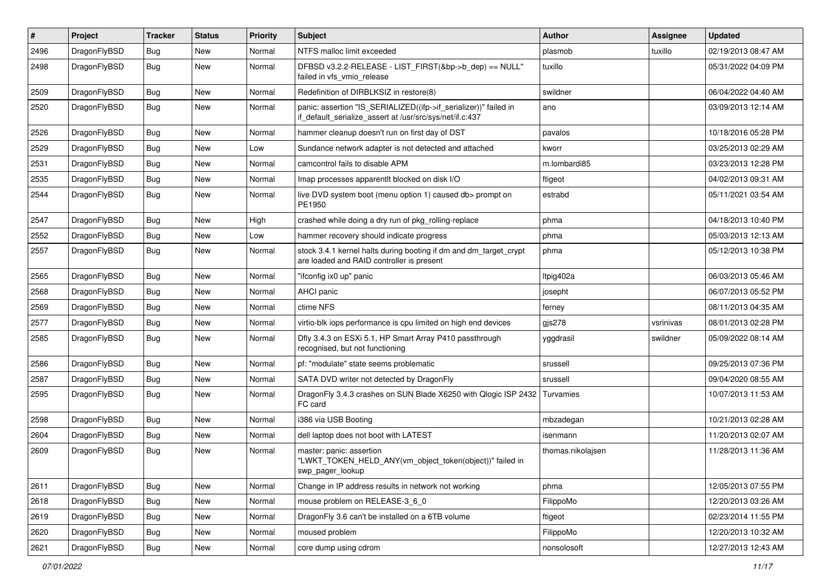| $\vert$ # | Project      | <b>Tracker</b> | <b>Status</b> | <b>Priority</b> | Subject                                                                                                                      | <b>Author</b>     | Assignee  | <b>Updated</b>      |
|-----------|--------------|----------------|---------------|-----------------|------------------------------------------------------------------------------------------------------------------------------|-------------------|-----------|---------------------|
| 2496      | DragonFlyBSD | <b>Bug</b>     | New           | Normal          | NTFS malloc limit exceeded                                                                                                   | plasmob           | tuxillo   | 02/19/2013 08:47 AM |
| 2498      | DragonFlyBSD | <b>Bug</b>     | New           | Normal          | DFBSD v3.2.2-RELEASE - LIST_FIRST(&bp->b_dep) == NULL"<br>failed in vfs_vmio_release                                         | tuxillo           |           | 05/31/2022 04:09 PM |
| 2509      | DragonFlyBSD | <b>Bug</b>     | <b>New</b>    | Normal          | Redefinition of DIRBLKSIZ in restore(8)                                                                                      | swildner          |           | 06/04/2022 04:40 AM |
| 2520      | DragonFlyBSD | <b>Bug</b>     | New           | Normal          | panic: assertion "IS_SERIALIZED((ifp->if_serializer))" failed in<br>if_default_serialize_assert at /usr/src/sys/net/if.c:437 | ano               |           | 03/09/2013 12:14 AM |
| 2526      | DragonFlyBSD | <b>Bug</b>     | New           | Normal          | hammer cleanup doesn't run on first day of DST                                                                               | pavalos           |           | 10/18/2016 05:28 PM |
| 2529      | DragonFlyBSD | <b>Bug</b>     | New           | Low             | Sundance network adapter is not detected and attached                                                                        | kworr             |           | 03/25/2013 02:29 AM |
| 2531      | DragonFlyBSD | <b>Bug</b>     | <b>New</b>    | Normal          | camcontrol fails to disable APM                                                                                              | m.lombardi85      |           | 03/23/2013 12:28 PM |
| 2535      | DragonFlyBSD | <b>Bug</b>     | New           | Normal          | Imap processes apparentlt blocked on disk I/O                                                                                | ftigeot           |           | 04/02/2013 09:31 AM |
| 2544      | DragonFlyBSD | <b>Bug</b>     | <b>New</b>    | Normal          | live DVD system boot (menu option 1) caused db> prompt on<br>PE1950                                                          | estrabd           |           | 05/11/2021 03:54 AM |
| 2547      | DragonFlyBSD | <b>Bug</b>     | <b>New</b>    | High            | crashed while doing a dry run of pkg rolling-replace                                                                         | phma              |           | 04/18/2013 10:40 PM |
| 2552      | DragonFlyBSD | <b>Bug</b>     | New           | Low             | hammer recovery should indicate progress                                                                                     | phma              |           | 05/03/2013 12:13 AM |
| 2557      | DragonFlyBSD | <b>Bug</b>     | <b>New</b>    | Normal          | stock 3.4.1 kernel halts during booting if dm and dm_target_crypt<br>are loaded and RAID controller is present               | phma              |           | 05/12/2013 10:38 PM |
| 2565      | DragonFlyBSD | <b>Bug</b>     | <b>New</b>    | Normal          | "ifconfig ix0 up" panic                                                                                                      | Itpig402a         |           | 06/03/2013 05:46 AM |
| 2568      | DragonFlyBSD | <b>Bug</b>     | New           | Normal          | <b>AHCI</b> panic                                                                                                            | josepht           |           | 06/07/2013 05:52 PM |
| 2569      | DragonFlyBSD | <b>Bug</b>     | <b>New</b>    | Normal          | ctime NFS                                                                                                                    | ferney            |           | 08/11/2013 04:35 AM |
| 2577      | DragonFlyBSD | <b>Bug</b>     | New           | Normal          | virtio-blk iops performance is cpu limited on high end devices                                                               | gjs278            | vsrinivas | 08/01/2013 02:28 PM |
| 2585      | DragonFlyBSD | <b>Bug</b>     | New           | Normal          | Dfly 3.4.3 on ESXi 5.1, HP Smart Array P410 passthrough<br>recognised, but not functioning                                   | yggdrasil         | swildner  | 05/09/2022 08:14 AM |
| 2586      | DragonFlyBSD | <b>Bug</b>     | New           | Normal          | pf: "modulate" state seems problematic                                                                                       | srussell          |           | 09/25/2013 07:36 PM |
| 2587      | DragonFlyBSD | <b>Bug</b>     | New           | Normal          | SATA DVD writer not detected by DragonFly                                                                                    | srussell          |           | 09/04/2020 08:55 AM |
| 2595      | DragonFlyBSD | <b>Bug</b>     | New           | Normal          | DragonFly 3.4.3 crashes on SUN Blade X6250 with Qlogic ISP 2432<br>FC card                                                   | Turvamies         |           | 10/07/2013 11:53 AM |
| 2598      | DragonFlyBSD | <b>Bug</b>     | <b>New</b>    | Normal          | i386 via USB Booting                                                                                                         | mbzadegan         |           | 10/21/2013 02:28 AM |
| 2604      | DragonFlyBSD | <b>Bug</b>     | New           | Normal          | dell laptop does not boot with LATEST                                                                                        | isenmann          |           | 11/20/2013 02:07 AM |
| 2609      | DragonFlyBSD | <b>Bug</b>     | New           | Normal          | master: panic: assertion<br>"LWKT_TOKEN_HELD_ANY(vm_object_token(object))" failed in<br>swp_pager_lookup                     | thomas.nikolajsen |           | 11/28/2013 11:36 AM |
| 2611      | DragonFlyBSD | <b>Bug</b>     | <b>New</b>    | Normal          | Change in IP address results in network not working                                                                          | phma              |           | 12/05/2013 07:55 PM |
| 2618      | DragonFlyBSD | <b>Bug</b>     | New           | Normal          | mouse problem on RELEASE-3_6_0                                                                                               | FilippoMo         |           | 12/20/2013 03:26 AM |
| 2619      | DragonFlyBSD | <b>Bug</b>     | New           | Normal          | DragonFly 3.6 can't be installed on a 6TB volume                                                                             | ftigeot           |           | 02/23/2014 11:55 PM |
| 2620      | DragonFlyBSD | Bug            | New           | Normal          | moused problem                                                                                                               | FilippoMo         |           | 12/20/2013 10:32 AM |
| 2621      | DragonFlyBSD | <b>Bug</b>     | New           | Normal          | core dump using cdrom                                                                                                        | nonsolosoft       |           | 12/27/2013 12:43 AM |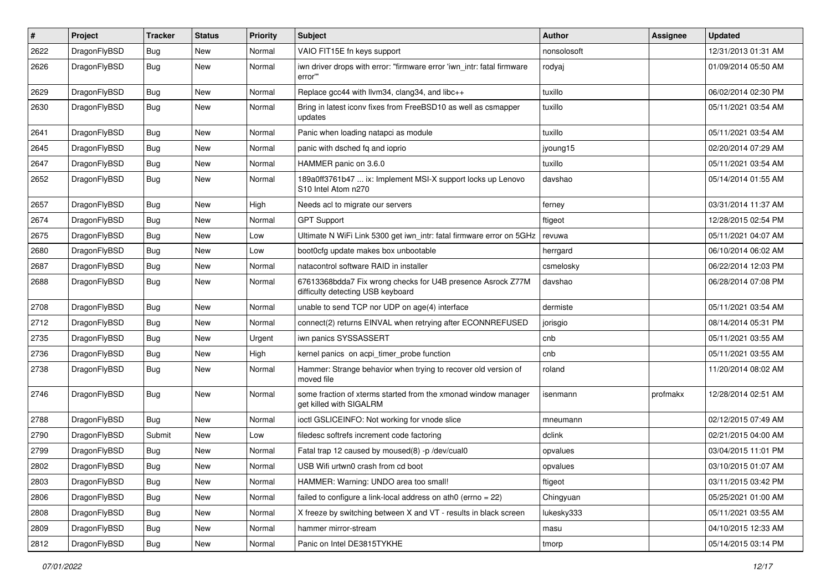| $\pmb{\#}$ | Project      | <b>Tracker</b> | <b>Status</b> | <b>Priority</b> | Subject                                                                                          | <b>Author</b> | Assignee | <b>Updated</b>      |
|------------|--------------|----------------|---------------|-----------------|--------------------------------------------------------------------------------------------------|---------------|----------|---------------------|
| 2622       | DragonFlyBSD | Bug            | New           | Normal          | VAIO FIT15E fn keys support                                                                      | nonsolosoft   |          | 12/31/2013 01:31 AM |
| 2626       | DragonFlyBSD | Bug            | New           | Normal          | iwn driver drops with error: "firmware error 'iwn_intr: fatal firmware<br>error"                 | rodyaj        |          | 01/09/2014 05:50 AM |
| 2629       | DragonFlyBSD | Bug            | <b>New</b>    | Normal          | Replace gcc44 with llvm34, clang34, and libc++                                                   | tuxillo       |          | 06/02/2014 02:30 PM |
| 2630       | DragonFlyBSD | Bug            | <b>New</b>    | Normal          | Bring in latest iconv fixes from FreeBSD10 as well as csmapper<br>updates                        | tuxillo       |          | 05/11/2021 03:54 AM |
| 2641       | DragonFlyBSD | Bug            | New           | Normal          | Panic when loading natapci as module                                                             | tuxillo       |          | 05/11/2021 03:54 AM |
| 2645       | DragonFlyBSD | Bug            | <b>New</b>    | Normal          | panic with dsched fq and ioprio                                                                  | jyoung15      |          | 02/20/2014 07:29 AM |
| 2647       | DragonFlyBSD | <b>Bug</b>     | New           | Normal          | HAMMER panic on 3.6.0                                                                            | tuxillo       |          | 05/11/2021 03:54 AM |
| 2652       | DragonFlyBSD | Bug            | New           | Normal          | 189a0ff3761b47  ix: Implement MSI-X support locks up Lenovo<br>S10 Intel Atom n270               | davshao       |          | 05/14/2014 01:55 AM |
| 2657       | DragonFlyBSD | Bug            | <b>New</b>    | High            | Needs acl to migrate our servers                                                                 | ferney        |          | 03/31/2014 11:37 AM |
| 2674       | DragonFlyBSD | Bug            | <b>New</b>    | Normal          | <b>GPT Support</b>                                                                               | ftigeot       |          | 12/28/2015 02:54 PM |
| 2675       | DragonFlyBSD | Bug            | New           | Low             | Ultimate N WiFi Link 5300 get iwn_intr: fatal firmware error on 5GHz                             | revuwa        |          | 05/11/2021 04:07 AM |
| 2680       | DragonFlyBSD | Bug            | <b>New</b>    | Low             | boot0cfg update makes box unbootable                                                             | herrgard      |          | 06/10/2014 06:02 AM |
| 2687       | DragonFlyBSD | Bug            | <b>New</b>    | Normal          | natacontrol software RAID in installer                                                           | csmelosky     |          | 06/22/2014 12:03 PM |
| 2688       | DragonFlyBSD | Bug            | New           | Normal          | 67613368bdda7 Fix wrong checks for U4B presence Asrock Z77M<br>difficulty detecting USB keyboard | davshao       |          | 06/28/2014 07:08 PM |
| 2708       | DragonFlyBSD | <b>Bug</b>     | <b>New</b>    | Normal          | unable to send TCP nor UDP on age(4) interface                                                   | dermiste      |          | 05/11/2021 03:54 AM |
| 2712       | DragonFlyBSD | Bug            | <b>New</b>    | Normal          | connect(2) returns EINVAL when retrying after ECONNREFUSED                                       | jorisgio      |          | 08/14/2014 05:31 PM |
| 2735       | DragonFlyBSD | Bug            | <b>New</b>    | Urgent          | iwn panics SYSSASSERT                                                                            | cnb           |          | 05/11/2021 03:55 AM |
| 2736       | DragonFlyBSD | <b>Bug</b>     | New           | High            | kernel panics on acpi timer probe function                                                       | cnb           |          | 05/11/2021 03:55 AM |
| 2738       | DragonFlyBSD | Bug            | New           | Normal          | Hammer: Strange behavior when trying to recover old version of<br>moved file                     | roland        |          | 11/20/2014 08:02 AM |
| 2746       | DragonFlyBSD | Bug            | <b>New</b>    | Normal          | some fraction of xterms started from the xmonad window manager<br>get killed with SIGALRM        | isenmann      | profmakx | 12/28/2014 02:51 AM |
| 2788       | DragonFlyBSD | <b>Bug</b>     | <b>New</b>    | Normal          | ioctl GSLICEINFO: Not working for vnode slice                                                    | mneumann      |          | 02/12/2015 07:49 AM |
| 2790       | DragonFlyBSD | Submit         | New           | Low             | filedesc softrefs increment code factoring                                                       | dclink        |          | 02/21/2015 04:00 AM |
| 2799       | DragonFlyBSD | <b>Bug</b>     | <b>New</b>    | Normal          | Fatal trap 12 caused by moused(8) -p /dev/cual0                                                  | opvalues      |          | 03/04/2015 11:01 PM |
| 2802       | DragonFlyBSD | Bug            | New           | Normal          | USB Wifi urtwn0 crash from cd boot                                                               | opvalues      |          | 03/10/2015 01:07 AM |
| 2803       | DragonFlyBSD | Bug            | New           | Normal          | HAMMER: Warning: UNDO area too small!                                                            | ftigeot       |          | 03/11/2015 03:42 PM |
| 2806       | DragonFlyBSD | Bug            | New           | Normal          | failed to configure a link-local address on ath0 (errno = 22)                                    | Chingyuan     |          | 05/25/2021 01:00 AM |
| 2808       | DragonFlyBSD | <b>Bug</b>     | New           | Normal          | X freeze by switching between X and VT - results in black screen                                 | lukesky333    |          | 05/11/2021 03:55 AM |
| 2809       | DragonFlyBSD | Bug            | New           | Normal          | hammer mirror-stream                                                                             | masu          |          | 04/10/2015 12:33 AM |
| 2812       | DragonFlyBSD | Bug            | New           | Normal          | Panic on Intel DE3815TYKHE                                                                       | tmorp         |          | 05/14/2015 03:14 PM |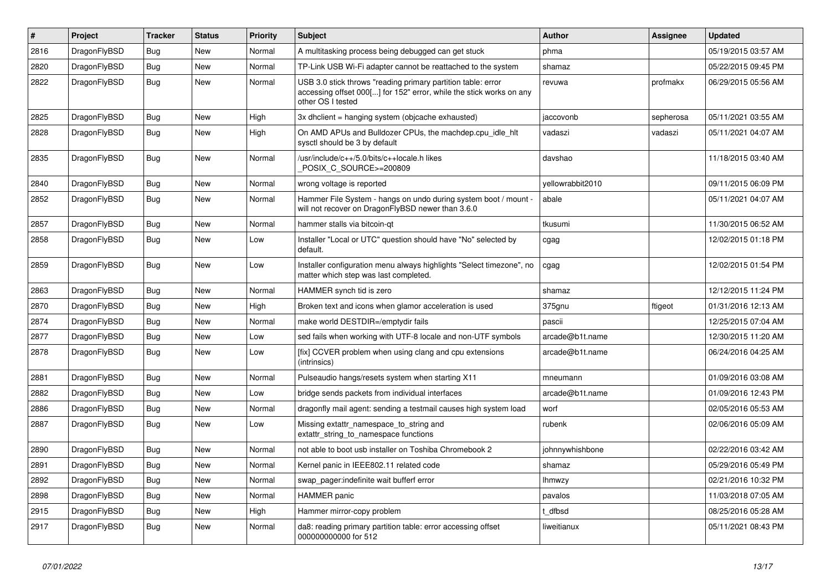| $\vert$ # | Project      | <b>Tracker</b> | <b>Status</b> | <b>Priority</b> | <b>Subject</b>                                                                                                                                           | <b>Author</b>    | Assignee  | <b>Updated</b>      |
|-----------|--------------|----------------|---------------|-----------------|----------------------------------------------------------------------------------------------------------------------------------------------------------|------------------|-----------|---------------------|
| 2816      | DragonFlyBSD | Bug            | <b>New</b>    | Normal          | A multitasking process being debugged can get stuck                                                                                                      | phma             |           | 05/19/2015 03:57 AM |
| 2820      | DragonFlyBSD | Bug            | <b>New</b>    | Normal          | TP-Link USB Wi-Fi adapter cannot be reattached to the system                                                                                             | shamaz           |           | 05/22/2015 09:45 PM |
| 2822      | DragonFlyBSD | Bug            | <b>New</b>    | Normal          | USB 3.0 stick throws "reading primary partition table: error<br>accessing offset 000[] for 152" error, while the stick works on any<br>other OS I tested | revuwa           | profmakx  | 06/29/2015 05:56 AM |
| 2825      | DragonFlyBSD | Bug            | <b>New</b>    | High            | 3x dhclient = hanging system (objcache exhausted)                                                                                                        | jaccovonb        | sepherosa | 05/11/2021 03:55 AM |
| 2828      | DragonFlyBSD | Bug            | <b>New</b>    | High            | On AMD APUs and Bulldozer CPUs, the machdep.cpu idle hit<br>sysctl should be 3 by default                                                                | vadaszi          | vadaszi   | 05/11/2021 04:07 AM |
| 2835      | DragonFlyBSD | Bug            | New           | Normal          | /usr/include/c++/5.0/bits/c++locale.h likes<br>POSIX_C_SOURCE>=200809                                                                                    | davshao          |           | 11/18/2015 03:40 AM |
| 2840      | DragonFlyBSD | <b>Bug</b>     | <b>New</b>    | Normal          | wrong voltage is reported                                                                                                                                | yellowrabbit2010 |           | 09/11/2015 06:09 PM |
| 2852      | DragonFlyBSD | <b>Bug</b>     | New           | Normal          | Hammer File System - hangs on undo during system boot / mount -<br>will not recover on DragonFlyBSD newer than 3.6.0                                     | abale            |           | 05/11/2021 04:07 AM |
| 2857      | DragonFlyBSD | <b>Bug</b>     | <b>New</b>    | Normal          | hammer stalls via bitcoin-qt                                                                                                                             | tkusumi          |           | 11/30/2015 06:52 AM |
| 2858      | DragonFlyBSD | Bug            | New           | Low             | Installer "Local or UTC" question should have "No" selected by<br>default.                                                                               | cgag             |           | 12/02/2015 01:18 PM |
| 2859      | DragonFlyBSD | Bug            | New           | Low             | Installer configuration menu always highlights "Select timezone", no<br>matter which step was last completed.                                            | cgag             |           | 12/02/2015 01:54 PM |
| 2863      | DragonFlyBSD | <b>Bug</b>     | <b>New</b>    | Normal          | HAMMER synch tid is zero                                                                                                                                 | shamaz           |           | 12/12/2015 11:24 PM |
| 2870      | DragonFlyBSD | <b>Bug</b>     | <b>New</b>    | High            | Broken text and icons when glamor acceleration is used                                                                                                   | 375gnu           | ftigeot   | 01/31/2016 12:13 AM |
| 2874      | DragonFlyBSD | <b>Bug</b>     | <b>New</b>    | Normal          | make world DESTDIR=/emptydir fails                                                                                                                       | pascii           |           | 12/25/2015 07:04 AM |
| 2877      | DragonFlyBSD | Bug            | <b>New</b>    | Low             | sed fails when working with UTF-8 locale and non-UTF symbols                                                                                             | arcade@b1t.name  |           | 12/30/2015 11:20 AM |
| 2878      | DragonFlyBSD | <b>Bug</b>     | <b>New</b>    | Low             | [fix] CCVER problem when using clang and cpu extensions<br>(intrinsics)                                                                                  | arcade@b1t.name  |           | 06/24/2016 04:25 AM |
| 2881      | DragonFlyBSD | Bug            | New           | Normal          | Pulseaudio hangs/resets system when starting X11                                                                                                         | mneumann         |           | 01/09/2016 03:08 AM |
| 2882      | DragonFlyBSD | Bug            | New           | Low             | bridge sends packets from individual interfaces                                                                                                          | arcade@b1t.name  |           | 01/09/2016 12:43 PM |
| 2886      | DragonFlyBSD | Bug            | New           | Normal          | dragonfly mail agent: sending a testmail causes high system load                                                                                         | worf             |           | 02/05/2016 05:53 AM |
| 2887      | DragonFlyBSD | Bug            | New           | Low             | Missing extattr_namespace_to_string and<br>extattr_string_to_namespace functions                                                                         | rubenk           |           | 02/06/2016 05:09 AM |
| 2890      | DragonFlyBSD | <b>Bug</b>     | <b>New</b>    | Normal          | not able to boot usb installer on Toshiba Chromebook 2                                                                                                   | johnnywhishbone  |           | 02/22/2016 03:42 AM |
| 2891      | DragonFlyBSD | <b>Bug</b>     | <b>New</b>    | Normal          | Kernel panic in IEEE802.11 related code                                                                                                                  | shamaz           |           | 05/29/2016 05:49 PM |
| 2892      | DragonFlyBSD | <b>Bug</b>     | <b>New</b>    | Normal          | swap_pager:indefinite wait bufferf error                                                                                                                 | <b>Ihmwzy</b>    |           | 02/21/2016 10:32 PM |
| 2898      | DragonFlyBSD | <b>Bug</b>     | <b>New</b>    | Normal          | <b>HAMMER</b> panic                                                                                                                                      | pavalos          |           | 11/03/2018 07:05 AM |
| 2915      | DragonFlyBSD | Bug            | New           | High            | Hammer mirror-copy problem                                                                                                                               | t dfbsd          |           | 08/25/2016 05:28 AM |
| 2917      | DragonFlyBSD | Bug            | New           | Normal          | da8: reading primary partition table: error accessing offset<br>000000000000 for 512                                                                     | liweitianux      |           | 05/11/2021 08:43 PM |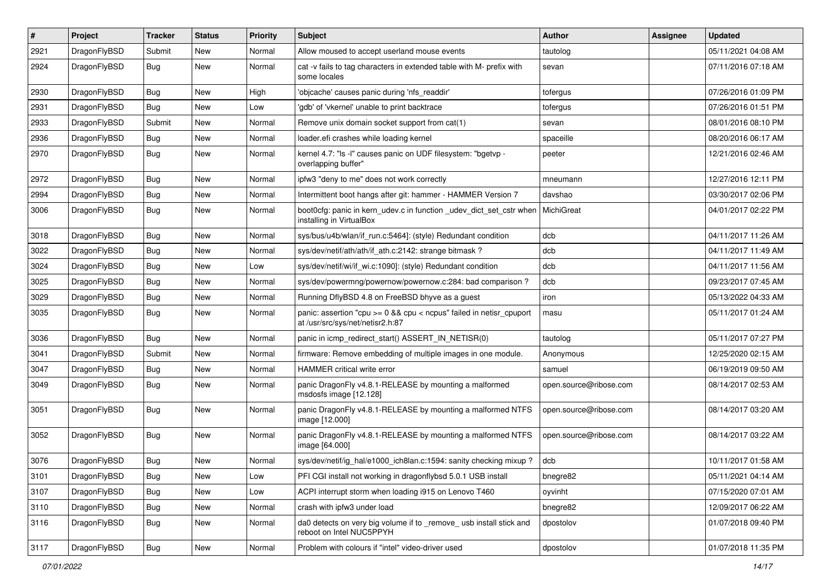| $\sharp$ | Project      | <b>Tracker</b> | <b>Status</b> | <b>Priority</b> | Subject                                                                                                 | <b>Author</b>          | Assignee | <b>Updated</b>      |
|----------|--------------|----------------|---------------|-----------------|---------------------------------------------------------------------------------------------------------|------------------------|----------|---------------------|
| 2921     | DragonFlyBSD | Submit         | <b>New</b>    | Normal          | Allow moused to accept userland mouse events                                                            | tautolog               |          | 05/11/2021 04:08 AM |
| 2924     | DragonFlyBSD | Bug            | New           | Normal          | cat -v fails to tag characters in extended table with M- prefix with<br>some locales                    | sevan                  |          | 07/11/2016 07:18 AM |
| 2930     | DragonFlyBSD | Bug            | <b>New</b>    | High            | 'objcache' causes panic during 'nfs_readdir'                                                            | tofergus               |          | 07/26/2016 01:09 PM |
| 2931     | DragonFlyBSD | Bug            | <b>New</b>    | Low             | 'gdb' of 'vkernel' unable to print backtrace                                                            | tofergus               |          | 07/26/2016 01:51 PM |
| 2933     | DragonFlyBSD | Submit         | New           | Normal          | Remove unix domain socket support from cat(1)                                                           | sevan                  |          | 08/01/2016 08:10 PM |
| 2936     | DragonFlyBSD | Bug            | <b>New</b>    | Normal          | loader.efi crashes while loading kernel                                                                 | spaceille              |          | 08/20/2016 06:17 AM |
| 2970     | DragonFlyBSD | Bug            | New           | Normal          | kernel 4.7: "Is -I" causes panic on UDF filesystem: "bgetvp -<br>overlapping buffer"                    | peeter                 |          | 12/21/2016 02:46 AM |
| 2972     | DragonFlyBSD | Bug            | <b>New</b>    | Normal          | ipfw3 "deny to me" does not work correctly                                                              | mneumann               |          | 12/27/2016 12:11 PM |
| 2994     | DragonFlyBSD | Bug            | <b>New</b>    | Normal          | Intermittent boot hangs after git: hammer - HAMMER Version 7                                            | davshao                |          | 03/30/2017 02:06 PM |
| 3006     | DragonFlyBSD | Bug            | New           | Normal          | boot Ocfg: panic in kern udev.c in function udev dict set cstr when<br>installing in VirtualBox         | MichiGreat             |          | 04/01/2017 02:22 PM |
| 3018     | DragonFlyBSD | <b>Bug</b>     | <b>New</b>    | Normal          | sys/bus/u4b/wlan/if run.c:5464]: (style) Redundant condition                                            | dcb                    |          | 04/11/2017 11:26 AM |
| 3022     | DragonFlyBSD | <b>Bug</b>     | <b>New</b>    | Normal          | sys/dev/netif/ath/ath/if ath.c:2142: strange bitmask?                                                   | dcb                    |          | 04/11/2017 11:49 AM |
| 3024     | DragonFlyBSD | <b>Bug</b>     | New           | Low             | sys/dev/netif/wi/if_wi.c:1090]: (style) Redundant condition                                             | dcb                    |          | 04/11/2017 11:56 AM |
| 3025     | DragonFlyBSD | <b>Bug</b>     | New           | Normal          | sys/dev/powermng/powernow/powernow.c:284: bad comparison?                                               | dcb                    |          | 09/23/2017 07:45 AM |
| 3029     | DragonFlyBSD | Bug            | <b>New</b>    | Normal          | Running DflyBSD 4.8 on FreeBSD bhyve as a guest                                                         | iron                   |          | 05/13/2022 04:33 AM |
| 3035     | DragonFlyBSD | <b>Bug</b>     | <b>New</b>    | Normal          | panic: assertion "cpu >= 0 && cpu < ncpus" failed in netisr_cpuport<br>at /usr/src/sys/net/netisr2.h:87 | masu                   |          | 05/11/2017 01:24 AM |
| 3036     | DragonFlyBSD | <b>Bug</b>     | <b>New</b>    | Normal          | panic in icmp_redirect_start() ASSERT_IN_NETISR(0)                                                      | tautolog               |          | 05/11/2017 07:27 PM |
| 3041     | DragonFlyBSD | Submit         | New           | Normal          | firmware: Remove embedding of multiple images in one module.                                            | Anonymous              |          | 12/25/2020 02:15 AM |
| 3047     | DragonFlyBSD | Bug            | <b>New</b>    | Normal          | HAMMER critical write error                                                                             | samuel                 |          | 06/19/2019 09:50 AM |
| 3049     | DragonFlyBSD | Bug            | New           | Normal          | panic DragonFly v4.8.1-RELEASE by mounting a malformed<br>msdosfs image [12.128]                        | open.source@ribose.com |          | 08/14/2017 02:53 AM |
| 3051     | DragonFlyBSD | Bug            | <b>New</b>    | Normal          | panic DragonFly v4.8.1-RELEASE by mounting a malformed NTFS<br>image [12.000]                           | open.source@ribose.com |          | 08/14/2017 03:20 AM |
| 3052     | DragonFlyBSD | Bug            | New           | Normal          | panic DragonFly v4.8.1-RELEASE by mounting a malformed NTFS<br>image [64.000]                           | open.source@ribose.com |          | 08/14/2017 03:22 AM |
| 3076     | DragonFlyBSD | Bug            | <b>New</b>    | Normal          | sys/dev/netif/ig hal/e1000 ich8lan.c:1594: sanity checking mixup?                                       | dcb                    |          | 10/11/2017 01:58 AM |
| 3101     | DragonFlyBSD | <b>Bug</b>     | New           | Low             | PFI CGI install not working in dragonflybsd 5.0.1 USB install                                           | bnegre82               |          | 05/11/2021 04:14 AM |
| 3107     | DragonFlyBSD | <b>Bug</b>     | New           | Low             | ACPI interrupt storm when loading i915 on Lenovo T460                                                   | oyvinht                |          | 07/15/2020 07:01 AM |
| 3110     | DragonFlyBSD | Bug            | New           | Normal          | crash with ipfw3 under load                                                                             | bnegre82               |          | 12/09/2017 06:22 AM |
| 3116     | DragonFlyBSD | Bug            | New           | Normal          | da0 detects on very big volume if to remove usb install stick and<br>reboot on Intel NUC5PPYH           | dpostolov              |          | 01/07/2018 09:40 PM |
| 3117     | DragonFlyBSD | <b>Bug</b>     | New           | Normal          | Problem with colours if "intel" video-driver used                                                       | dpostolov              |          | 01/07/2018 11:35 PM |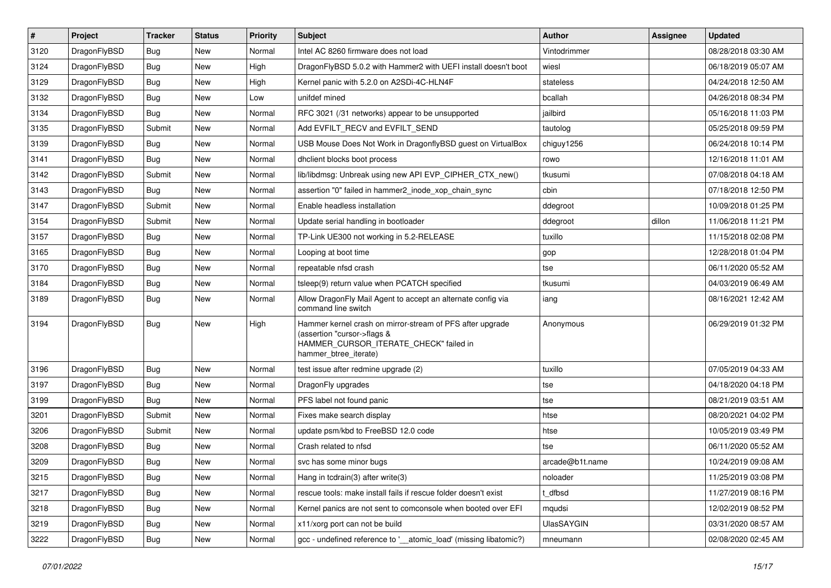| $\sharp$ | Project      | <b>Tracker</b> | <b>Status</b> | <b>Priority</b> | Subject                                                                                                                                                     | <b>Author</b>     | Assignee | <b>Updated</b>      |
|----------|--------------|----------------|---------------|-----------------|-------------------------------------------------------------------------------------------------------------------------------------------------------------|-------------------|----------|---------------------|
| 3120     | DragonFlyBSD | <b>Bug</b>     | New           | Normal          | Intel AC 8260 firmware does not load                                                                                                                        | Vintodrimmer      |          | 08/28/2018 03:30 AM |
| 3124     | DragonFlyBSD | <b>Bug</b>     | New           | High            | DragonFlyBSD 5.0.2 with Hammer2 with UEFI install doesn't boot                                                                                              | wiesl             |          | 06/18/2019 05:07 AM |
| 3129     | DragonFlyBSD | <b>Bug</b>     | <b>New</b>    | High            | Kernel panic with 5.2.0 on A2SDi-4C-HLN4F                                                                                                                   | stateless         |          | 04/24/2018 12:50 AM |
| 3132     | DragonFlyBSD | <b>Bug</b>     | New           | Low             | unifdef mined                                                                                                                                               | bcallah           |          | 04/26/2018 08:34 PM |
| 3134     | DragonFlyBSD | <b>Bug</b>     | <b>New</b>    | Normal          | RFC 3021 (/31 networks) appear to be unsupported                                                                                                            | jailbird          |          | 05/16/2018 11:03 PM |
| 3135     | DragonFlyBSD | Submit         | <b>New</b>    | Normal          | Add EVFILT_RECV and EVFILT_SEND                                                                                                                             | tautolog          |          | 05/25/2018 09:59 PM |
| 3139     | DragonFlyBSD | <b>Bug</b>     | <b>New</b>    | Normal          | USB Mouse Does Not Work in DragonflyBSD guest on VirtualBox                                                                                                 | chiguy1256        |          | 06/24/2018 10:14 PM |
| 3141     | DragonFlyBSD | <b>Bug</b>     | New           | Normal          | dhclient blocks boot process                                                                                                                                | rowo              |          | 12/16/2018 11:01 AM |
| 3142     | DragonFlyBSD | Submit         | <b>New</b>    | Normal          | lib/libdmsg: Unbreak using new API EVP CIPHER CTX new()                                                                                                     | tkusumi           |          | 07/08/2018 04:18 AM |
| 3143     | DragonFlyBSD | <b>Bug</b>     | <b>New</b>    | Normal          | assertion "0" failed in hammer2_inode_xop_chain_sync                                                                                                        | cbin              |          | 07/18/2018 12:50 PM |
| 3147     | DragonFlyBSD | Submit         | New           | Normal          | Enable headless installation                                                                                                                                | ddegroot          |          | 10/09/2018 01:25 PM |
| 3154     | DragonFlyBSD | Submit         | New           | Normal          | Update serial handling in bootloader                                                                                                                        | ddegroot          | dillon   | 11/06/2018 11:21 PM |
| 3157     | DragonFlyBSD | <b>Bug</b>     | New           | Normal          | TP-Link UE300 not working in 5.2-RELEASE                                                                                                                    | tuxillo           |          | 11/15/2018 02:08 PM |
| 3165     | DragonFlyBSD | <b>Bug</b>     | New           | Normal          | Looping at boot time                                                                                                                                        | gop               |          | 12/28/2018 01:04 PM |
| 3170     | DragonFlyBSD | <b>Bug</b>     | New           | Normal          | repeatable nfsd crash                                                                                                                                       | tse               |          | 06/11/2020 05:52 AM |
| 3184     | DragonFlyBSD | <b>Bug</b>     | New           | Normal          | tsleep(9) return value when PCATCH specified                                                                                                                | tkusumi           |          | 04/03/2019 06:49 AM |
| 3189     | DragonFlyBSD | <b>Bug</b>     | <b>New</b>    | Normal          | Allow DragonFly Mail Agent to accept an alternate config via<br>command line switch                                                                         | iang              |          | 08/16/2021 12:42 AM |
| 3194     | DragonFlyBSD | <b>Bug</b>     | New           | High            | Hammer kernel crash on mirror-stream of PFS after upgrade<br>(assertion "cursor->flags &<br>HAMMER_CURSOR_ITERATE_CHECK" failed in<br>hammer_btree_iterate) | Anonymous         |          | 06/29/2019 01:32 PM |
| 3196     | DragonFlyBSD | <b>Bug</b>     | <b>New</b>    | Normal          | test issue after redmine upgrade (2)                                                                                                                        | tuxillo           |          | 07/05/2019 04:33 AM |
| 3197     | DragonFlyBSD | <b>Bug</b>     | New           | Normal          | DragonFly upgrades                                                                                                                                          | tse               |          | 04/18/2020 04:18 PM |
| 3199     | DragonFlyBSD | <b>Bug</b>     | New           | Normal          | PFS label not found panic                                                                                                                                   | tse               |          | 08/21/2019 03:51 AM |
| 3201     | DragonFlyBSD | Submit         | <b>New</b>    | Normal          | Fixes make search display                                                                                                                                   | htse              |          | 08/20/2021 04:02 PM |
| 3206     | DragonFlyBSD | Submit         | New           | Normal          | update psm/kbd to FreeBSD 12.0 code                                                                                                                         | htse              |          | 10/05/2019 03:49 PM |
| 3208     | DragonFlyBSD | <b>Bug</b>     | <b>New</b>    | Normal          | Crash related to nfsd                                                                                                                                       | tse               |          | 06/11/2020 05:52 AM |
| 3209     | DragonFlyBSD | <b>Bug</b>     | New           | Normal          | svc has some minor bugs                                                                                                                                     | arcade@b1t.name   |          | 10/24/2019 09:08 AM |
| 3215     | DragonFlyBSD | <b>Bug</b>     | New           | Normal          | Hang in tcdrain(3) after write(3)                                                                                                                           | noloader          |          | 11/25/2019 03:08 PM |
| 3217     | DragonFlyBSD | <b>Bug</b>     | <b>New</b>    | Normal          | rescue tools: make install fails if rescue folder doesn't exist                                                                                             | t_dfbsd           |          | 11/27/2019 08:16 PM |
| 3218     | DragonFlyBSD | <b>Bug</b>     | New           | Normal          | Kernel panics are not sent to comconsole when booted over EFI                                                                                               | mqudsi            |          | 12/02/2019 08:52 PM |
| 3219     | DragonFlyBSD | <b>Bug</b>     | New           | Normal          | x11/xorg port can not be build                                                                                                                              | <b>UlasSAYGIN</b> |          | 03/31/2020 08:57 AM |
| 3222     | DragonFlyBSD | <b>Bug</b>     | New           | Normal          | gcc - undefined reference to '__atomic_load' (missing libatomic?)                                                                                           | mneumann          |          | 02/08/2020 02:45 AM |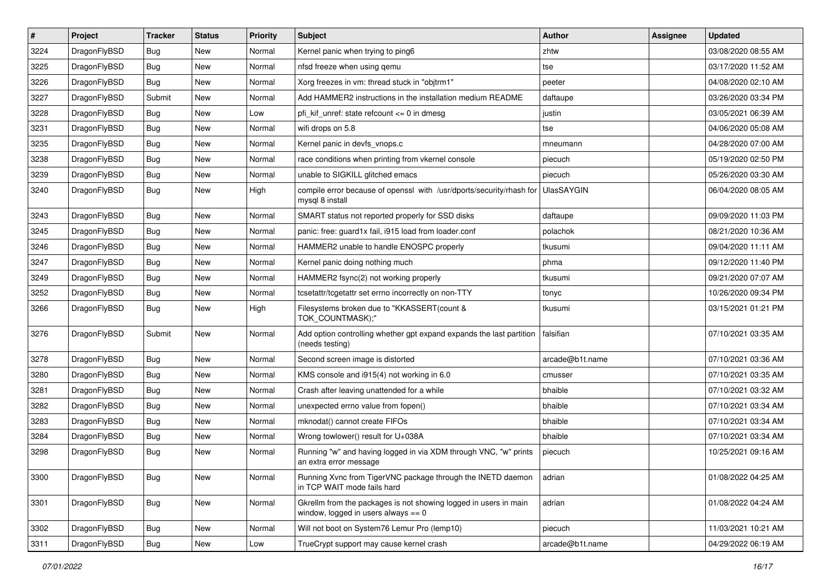| $\vert$ # | Project      | <b>Tracker</b> | <b>Status</b> | <b>Priority</b> | Subject                                                                                                   | Author            | Assignee | <b>Updated</b>      |
|-----------|--------------|----------------|---------------|-----------------|-----------------------------------------------------------------------------------------------------------|-------------------|----------|---------------------|
| 3224      | DragonFlyBSD | Bug            | New           | Normal          | Kernel panic when trying to ping6                                                                         | zhtw              |          | 03/08/2020 08:55 AM |
| 3225      | DragonFlyBSD | Bug            | <b>New</b>    | Normal          | nfsd freeze when using gemu                                                                               | tse               |          | 03/17/2020 11:52 AM |
| 3226      | DragonFlyBSD | <b>Bug</b>     | New           | Normal          | Xorg freezes in vm: thread stuck in "objtrm1"                                                             | peeter            |          | 04/08/2020 02:10 AM |
| 3227      | DragonFlyBSD | Submit         | New           | Normal          | Add HAMMER2 instructions in the installation medium README                                                | daftaupe          |          | 03/26/2020 03:34 PM |
| 3228      | DragonFlyBSD | <b>Bug</b>     | New           | Low             | pfi_kif_unref: state refcount <= 0 in dmesg                                                               | justin            |          | 03/05/2021 06:39 AM |
| 3231      | DragonFlyBSD | Bug            | New           | Normal          | wifi drops on 5.8                                                                                         | tse               |          | 04/06/2020 05:08 AM |
| 3235      | DragonFlyBSD | Bug            | <b>New</b>    | Normal          | Kernel panic in devfs vnops.c                                                                             | mneumann          |          | 04/28/2020 07:00 AM |
| 3238      | DragonFlyBSD | <b>Bug</b>     | New           | Normal          | race conditions when printing from vkernel console                                                        | piecuch           |          | 05/19/2020 02:50 PM |
| 3239      | DragonFlyBSD | Bug            | <b>New</b>    | Normal          | unable to SIGKILL glitched emacs                                                                          | piecuch           |          | 05/26/2020 03:30 AM |
| 3240      | DragonFlyBSD | Bug            | New           | High            | compile error because of openssl with /usr/dports/security/rhash for<br>mysql 8 install                   | <b>UlasSAYGIN</b> |          | 06/04/2020 08:05 AM |
| 3243      | DragonFlyBSD | Bug            | <b>New</b>    | Normal          | SMART status not reported properly for SSD disks                                                          | daftaupe          |          | 09/09/2020 11:03 PM |
| 3245      | DragonFlyBSD | <b>Bug</b>     | New           | Normal          | panic: free: guard1x fail, i915 load from loader.conf                                                     | polachok          |          | 08/21/2020 10:36 AM |
| 3246      | DragonFlyBSD | Bug            | New           | Normal          | HAMMER2 unable to handle ENOSPC properly                                                                  | tkusumi           |          | 09/04/2020 11:11 AM |
| 3247      | DragonFlyBSD | <b>Bug</b>     | <b>New</b>    | Normal          | Kernel panic doing nothing much                                                                           | phma              |          | 09/12/2020 11:40 PM |
| 3249      | DragonFlyBSD | <b>Bug</b>     | New           | Normal          | HAMMER2 fsync(2) not working properly                                                                     | tkusumi           |          | 09/21/2020 07:07 AM |
| 3252      | DragonFlyBSD | Bug            | New           | Normal          | tcsetattr/tcgetattr set errno incorrectly on non-TTY                                                      | tonyc             |          | 10/26/2020 09:34 PM |
| 3266      | DragonFlyBSD | Bug            | New           | High            | Filesystems broken due to "KKASSERT(count &<br>TOK_COUNTMASK);"                                           | tkusumi           |          | 03/15/2021 01:21 PM |
| 3276      | DragonFlyBSD | Submit         | <b>New</b>    | Normal          | Add option controlling whether gpt expand expands the last partition<br>(needs testing)                   | falsifian         |          | 07/10/2021 03:35 AM |
| 3278      | DragonFlyBSD | Bug            | New           | Normal          | Second screen image is distorted                                                                          | arcade@b1t.name   |          | 07/10/2021 03:36 AM |
| 3280      | DragonFlyBSD | <b>Bug</b>     | <b>New</b>    | Normal          | KMS console and i915(4) not working in 6.0                                                                | cmusser           |          | 07/10/2021 03:35 AM |
| 3281      | DragonFlyBSD | <b>Bug</b>     | New           | Normal          | Crash after leaving unattended for a while                                                                | bhaible           |          | 07/10/2021 03:32 AM |
| 3282      | DragonFlyBSD | Bug            | <b>New</b>    | Normal          | unexpected errno value from fopen()                                                                       | bhaible           |          | 07/10/2021 03:34 AM |
| 3283      | DragonFlyBSD | Bug            | New           | Normal          | mknodat() cannot create FIFOs                                                                             | bhaible           |          | 07/10/2021 03:34 AM |
| 3284      | DragonFlyBSD | <b>Bug</b>     | New           | Normal          | Wrong towlower() result for U+038A                                                                        | bhaible           |          | 07/10/2021 03:34 AM |
| 3298      | DragonFlyBSD | <b>Bug</b>     | <b>New</b>    | Normal          | Running "w" and having logged in via XDM through VNC, "w" prints<br>an extra error message                | piecuch           |          | 10/25/2021 09:16 AM |
| 3300      | DragonFlyBSD | <b>Bug</b>     | New           | Normal          | Running Xvnc from TigerVNC package through the INETD daemon<br>in TCP WAIT mode fails hard                | adrian            |          | 01/08/2022 04:25 AM |
| 3301      | DragonFlyBSD | <b>Bug</b>     | New           | Normal          | Gkrellm from the packages is not showing logged in users in main<br>window, logged in users always $== 0$ | adrian            |          | 01/08/2022 04:24 AM |
| 3302      | DragonFlyBSD | <b>Bug</b>     | New           | Normal          | Will not boot on System76 Lemur Pro (lemp10)                                                              | piecuch           |          | 11/03/2021 10:21 AM |
| 3311      | DragonFlyBSD | Bug            | New           | Low             | TrueCrypt support may cause kernel crash                                                                  | arcade@b1t.name   |          | 04/29/2022 06:19 AM |